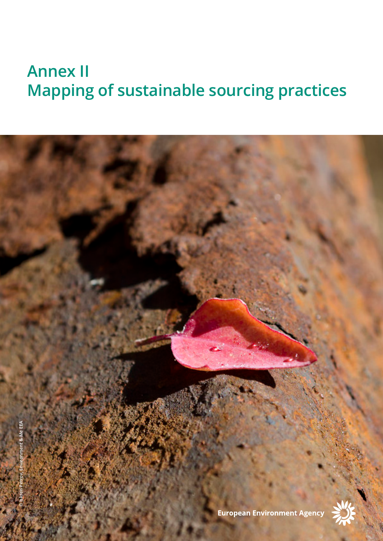# **Annex II Mapping of sustainable sourcing practices**

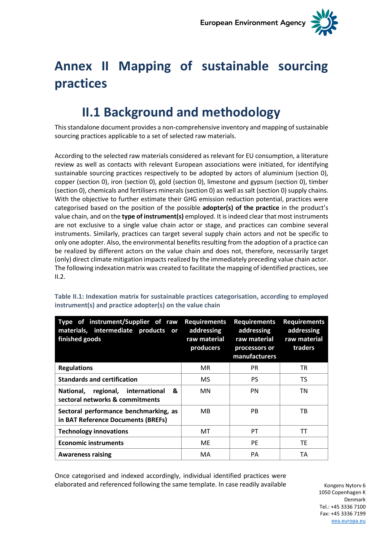

## **Annex II Mapping of sustainable sourcing practices**

## **II.1 Background and methodology**

This standalone document provides a non-comprehensive inventory and mapping of sustainable sourcing practices applicable to a set of selected raw materials.

According to the selected raw materials considered as relevant for EU consumption, a literature review as well as contacts with relevant European associations were initiated, for identifying sustainable sourcing practices respectively to be adopted by actors of aluminium (section [0\)](#page-2-0), copper (section [0\)](#page-14-0), iron (section [0\)](#page-19-0), gold (section [0\)](#page-25-0), limestone and gypsum (section [0\)](#page-30-0), timber (section [0\)](#page-32-0), chemicals and fertilisers minerals (section [0\)](#page-35-0) as well as salt (sectio[n 0\)](#page-46-0) supply chains. With the objective to further estimate their GHG emission reduction potential, practices were categorised based on the position of the possible **adopter(s) of the practice** in the product's value chain, and on the **type of instrument(s)** employed. It is indeed clear that most instruments are not exclusive to a single value chain actor or stage, and practices can combine several instruments. Similarly, practices can target several supply chain actors and not be specific to only one adopter. Also, the environmental benefits resulting from the adoption of a practice can be realized by different actors on the value chain and does not, therefore, necessarily target (only) direct climate mitigation impacts realized by the immediately preceding value chain actor. The following indexation matrix was created to facilitate the mapping of identified practices, see II.2.

| Type of instrument/Supplier of raw<br>materials, intermediate products or<br>finished goods | <b>Requirements</b><br>addressing<br>raw material<br>producers | <b>Requirements</b><br>addressing<br>raw material<br>processors or<br>manufacturers | <b>Requirements</b><br>addressing<br>raw material<br>traders |
|---------------------------------------------------------------------------------------------|----------------------------------------------------------------|-------------------------------------------------------------------------------------|--------------------------------------------------------------|
| <b>Regulations</b>                                                                          | <b>MR</b>                                                      | <b>PR</b>                                                                           | TR                                                           |
| <b>Standards and certification</b>                                                          | <b>MS</b>                                                      | <b>PS</b>                                                                           | TS                                                           |
| &<br>National, regional, international<br>sectoral networks & commitments                   | <b>MN</b>                                                      | <b>PN</b>                                                                           | <b>TN</b>                                                    |
| Sectoral performance benchmarking, as<br>in BAT Reference Documents (BREFs)                 | MB.                                                            | <b>PB</b>                                                                           | TB                                                           |
| <b>Technology innovations</b>                                                               | MT                                                             | PT                                                                                  | TT                                                           |
| <b>Economic instruments</b>                                                                 | <b>ME</b>                                                      | PF                                                                                  | <b>TE</b>                                                    |
| <b>Awareness raising</b>                                                                    | MA                                                             | PA                                                                                  | ТA                                                           |

**Table II.1: Indexation matrix for sustainable practices categorisation, according to employed instrument(s) and practice adopter(s) on the value chain**

Once categorised and indexed accordingly, individual identified practices were elaborated and referenced following the same template. In case readily available

Kongens Nytorv 6 1050 Copenhagen K Denmark Tel.: +45 3336 7100 Fax: +45 3336 7199 [eea.europa.eu](http://www.eea.europa.eu/)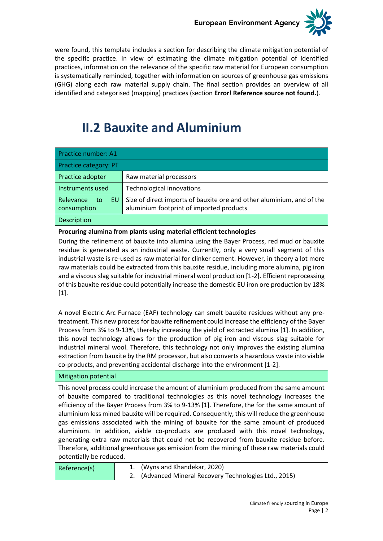European Environment Agency



were found, this template includes a section for describing the climate mitigation potential of the specific practice. In view of estimating the climate mitigation potential of identified practices, information on the relevance of the specific raw material for European consumption is systematically reminded, together with information on sources of greenhouse gas emissions (GHG) along each raw material supply chain. The final section provides an overview of all identified and categorised (mapping) practices (section **Error! Reference source not found.**).

## <span id="page-2-0"></span>**II.2 Bauxite and Aluminium**

| Practice number: A1                                                                                                                                                                                                                                                                                                                                                                                                                                                                                                                                                                                                                                                                                                                                                                                                                                                                                                                                                                              |                                                                                                                   |  |
|--------------------------------------------------------------------------------------------------------------------------------------------------------------------------------------------------------------------------------------------------------------------------------------------------------------------------------------------------------------------------------------------------------------------------------------------------------------------------------------------------------------------------------------------------------------------------------------------------------------------------------------------------------------------------------------------------------------------------------------------------------------------------------------------------------------------------------------------------------------------------------------------------------------------------------------------------------------------------------------------------|-------------------------------------------------------------------------------------------------------------------|--|
| Practice category: PT                                                                                                                                                                                                                                                                                                                                                                                                                                                                                                                                                                                                                                                                                                                                                                                                                                                                                                                                                                            |                                                                                                                   |  |
| Practice adopter                                                                                                                                                                                                                                                                                                                                                                                                                                                                                                                                                                                                                                                                                                                                                                                                                                                                                                                                                                                 | Raw material processors                                                                                           |  |
| <b>Instruments used</b>                                                                                                                                                                                                                                                                                                                                                                                                                                                                                                                                                                                                                                                                                                                                                                                                                                                                                                                                                                          | <b>Technological innovations</b>                                                                                  |  |
| Relevance<br><b>EU</b><br>to<br>consumption                                                                                                                                                                                                                                                                                                                                                                                                                                                                                                                                                                                                                                                                                                                                                                                                                                                                                                                                                      | Size of direct imports of bauxite ore and other aluminium, and of the<br>aluminium footprint of imported products |  |
| Description                                                                                                                                                                                                                                                                                                                                                                                                                                                                                                                                                                                                                                                                                                                                                                                                                                                                                                                                                                                      |                                                                                                                   |  |
|                                                                                                                                                                                                                                                                                                                                                                                                                                                                                                                                                                                                                                                                                                                                                                                                                                                                                                                                                                                                  | Procuring alumina from plants using material efficient technologies                                               |  |
| During the refinement of bauxite into alumina using the Bayer Process, red mud or bauxite<br>residue is generated as an industrial waste. Currently, only a very small segment of this<br>industrial waste is re-used as raw material for clinker cement. However, in theory a lot more<br>raw materials could be extracted from this bauxite residue, including more alumina, pig iron<br>and a viscous slag suitable for industrial mineral wool production [1-2]. Efficient reprocessing<br>of this bauxite residue could potentially increase the domestic EU iron ore production by 18%<br>[1].<br>A novel Electric Arc Furnace (EAF) technology can smelt bauxite residues without any pre-<br>treatment. This new process for bauxite refinement could increase the efficiency of the Bayer<br>Process from 3% to 9-13%, thereby increasing the yield of extracted alumina [1]. In addition,<br>this novel technology allows for the production of pig iron and viscous slag suitable for |                                                                                                                   |  |
| industrial mineral wool. Therefore, this technology not only improves the existing alumina<br>extraction from bauxite by the RM processor, but also converts a hazardous waste into viable<br>co-products, and preventing accidental discharge into the environment [1-2].                                                                                                                                                                                                                                                                                                                                                                                                                                                                                                                                                                                                                                                                                                                       |                                                                                                                   |  |
| Mitigation potential                                                                                                                                                                                                                                                                                                                                                                                                                                                                                                                                                                                                                                                                                                                                                                                                                                                                                                                                                                             |                                                                                                                   |  |
| This novel process could increase the amount of aluminium produced from the same amount<br>of bauxite compared to traditional technologies as this novel technology increases the<br>efficiency of the Bayer Process from 3% to 9-13% [1]. Therefore, the for the same amount of<br>aluminium less mined bauxite will be required. Consequently, this will reduce the greenhouse<br>gas emissions associated with the mining of bauxite for the same amount of produced<br>aluminium. In addition, viable co-products are produced with this novel technology,<br>generating extra raw materials that could not be recovered from bauxite residue before.<br>Therefore, additional greenhouse gas emission from the mining of these raw materials could<br>potentially be reduced.                                                                                                                                                                                                               |                                                                                                                   |  |
| Reference(s)                                                                                                                                                                                                                                                                                                                                                                                                                                                                                                                                                                                                                                                                                                                                                                                                                                                                                                                                                                                     | (Wyns and Khandekar, 2020)<br>1.                                                                                  |  |

2. (Advanced Mineral Recovery Technologies Ltd., 2015)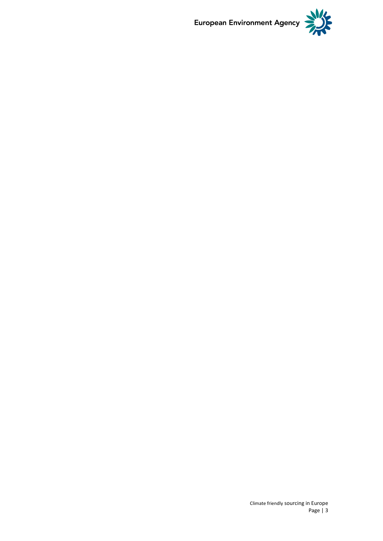

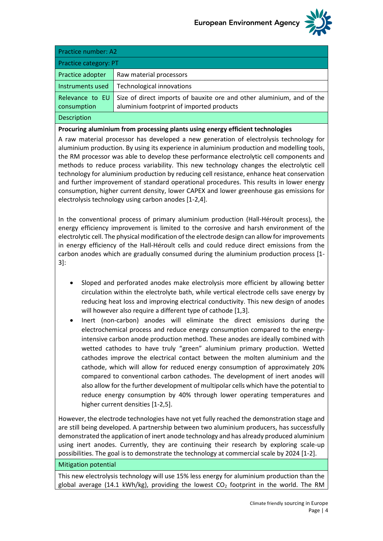

| Practice number: A2            |                                                                                                                   |
|--------------------------------|-------------------------------------------------------------------------------------------------------------------|
| Practice category: PT          |                                                                                                                   |
| Practice adopter               | Raw material processors                                                                                           |
| Instruments used               | Technological innovations                                                                                         |
| Relevance to EU<br>consumption | Size of direct imports of bauxite ore and other aluminium, and of the<br>aluminium footprint of imported products |
| <b>Description</b>             |                                                                                                                   |

## **Procuring aluminium from processing plants using energy efficient technologies**

A raw material processor has developed a new generation of electrolysis technology for aluminium production. By using its experience in aluminium production and modelling tools, the RM processor was able to develop these performance electrolytic cell components and methods to reduce process variability. This new technology changes the electrolytic cell technology for aluminium production by reducing cell resistance, enhance heat conservation and further improvement of standard operational procedures. This results in lower energy consumption, higher current density, lower CAPEX and lower greenhouse gas emissions for electrolysis technology using carbon anodes [1-2,4].

In the conventional process of primary aluminium production (Hall-Héroult process), the energy efficiency improvement is limited to the corrosive and harsh environment of the electrolytic cell. The physical modification of the electrode design can allow for improvements in energy efficiency of the Hall-Héroult cells and could reduce direct emissions from the carbon anodes which are gradually consumed during the aluminium production process [1- 3]:

- Sloped and perforated anodes make electrolysis more efficient by allowing better circulation within the electrolyte bath, while vertical electrode cells save energy by reducing heat loss and improving electrical conductivity. This new design of anodes will however also require a different type of cathode [1,3].
- Inert (non-carbon) anodes will eliminate the direct emissions during the electrochemical process and reduce energy consumption compared to the energyintensive carbon anode production method. These anodes are ideally combined with wetted cathodes to have truly "green" aluminium primary production. Wetted cathodes improve the electrical contact between the molten aluminium and the cathode, which will allow for reduced energy consumption of approximately 20% compared to conventional carbon cathodes. The development of inert anodes will also allow for the further development of multipolar cells which have the potential to reduce energy consumption by 40% through lower operating temperatures and higher current densities [1-2,5].

However, the electrode technologies have not yet fully reached the demonstration stage and are still being developed. A partnership between two aluminium producers, has successfully demonstrated the application of inert anode technology and has already produced aluminium using inert anodes. Currently, they are continuing their research by exploring scale-up possibilities. The goal is to demonstrate the technology at commercial scale by 2024 [1-2].

## Mitigation potential

This new electrolysis technology will use 15% less energy for aluminium production than the global average (14.1 kWh/kg), providing the lowest  $CO<sub>2</sub>$  footprint in the world. The RM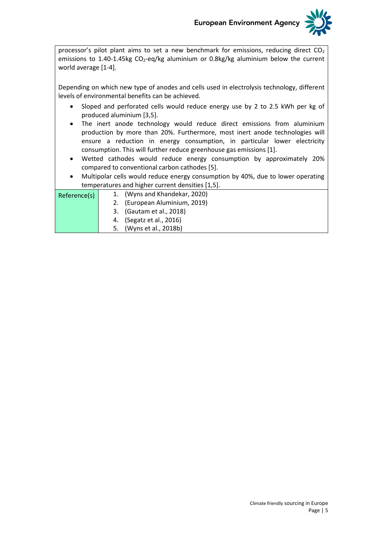

processor's pilot plant aims to set a new benchmark for emissions, reducing direct  $CO<sub>2</sub>$ emissions to 1.40-1.45kg  $CO_2$ -eq/kg aluminium or 0.8kg/kg aluminium below the current world average [1-4].

Depending on which new type of anodes and cells used in electrolysis technology, different levels of environmental benefits can be achieved.

- Sloped and perforated cells would reduce energy use by 2 to 2.5 kWh per kg of produced aluminium [3,5].
- The inert anode technology would reduce direct emissions from aluminium production by more than 20%. Furthermore, most inert anode technologies will ensure a reduction in energy consumption, in particular lower electricity consumption. This will further reduce greenhouse gas emissions [1].
- Wetted cathodes would reduce energy consumption by approximately 20% compared to conventional carbon cathodes [5].
- Multipolar cells would reduce energy consumption by 40%, due to lower operating temperatures and higher current densities [1,5].

| Reference(s) | 1. (Wyns and Khandekar, 2020) |
|--------------|-------------------------------|
|              | 2. (European Aluminium, 2019) |
|              | 3. (Gautam et al., 2018)      |
|              | (Segatz et al., 2016)<br>4.   |
|              | (Wyns et al., 2018b)<br>5.    |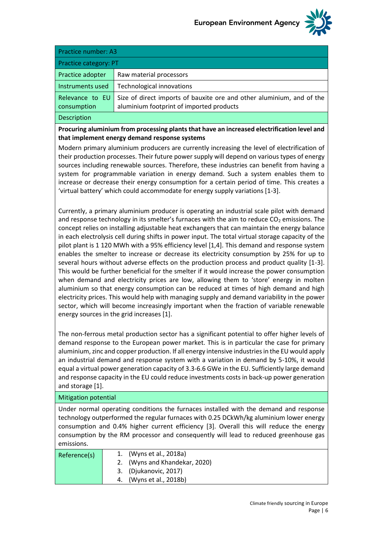

| Practice number: A3            |                                                                                                                   |
|--------------------------------|-------------------------------------------------------------------------------------------------------------------|
| Practice category: PT          |                                                                                                                   |
| <b>Practice adopter</b>        | Raw material processors                                                                                           |
| Instruments used               | Technological innovations                                                                                         |
| Relevance to EU<br>consumption | Size of direct imports of bauxite ore and other aluminium, and of the<br>aluminium footprint of imported products |
|                                |                                                                                                                   |

**Procuring aluminium from processing plants that have an increased electrification level and that implement energy demand response systems**

Modern primary aluminium producers are currently increasing the level of electrification of their production processes. Their future power supply will depend on various types of energy sources including renewable sources. Therefore, these industries can benefit from having a system for programmable variation in energy demand. Such a system enables them to increase or decrease their energy consumption for a certain period of time. This creates a 'virtual battery' which could accommodate for energy supply variations [1-3].

Currently, a primary aluminium producer is operating an industrial scale pilot with demand and response technology in its smelter's furnaces with the aim to reduce  $CO<sub>2</sub>$  emissions. The concept relies on installing adjustable heat exchangers that can maintain the energy balance in each electrolysis cell during shifts in power input. The total virtual storage capacity of the pilot plant is 1 120 MWh with a 95% efficiency level [1,4]. This demand and response system enables the smelter to increase or decrease its electricity consumption by 25% for up to several hours without adverse effects on the production process and product quality [1-3]. This would be further beneficial for the smelter if it would increase the power consumption when demand and electricity prices are low, allowing them to 'store' energy in molten aluminium so that energy consumption can be reduced at times of high demand and high electricity prices. This would help with managing supply and demand variability in the power sector, which will become increasingly important when the fraction of variable renewable energy sources in the grid increases [1].

The non-ferrous metal production sector has a significant potential to offer higher levels of demand response to the European power market. This is in particular the case for primary aluminium, zinc and copper production. If all energy intensive industries in the EU would apply an industrial demand and response system with a variation in demand by 5-10%, it would equal a virtual power generation capacity of 3.3-6.6 GWe in the EU. Sufficiently large demand and response capacity in the EU could reduce investments costs in back-up power generation and storage [1].

## Mitigation potential

Under normal operating conditions the furnaces installed with the demand and response technology outperformed the regular furnaces with 0.25 DCkWh/kg aluminium lower energy consumption and 0.4% higher current efficiency [3]. Overall this will reduce the energy consumption by the RM processor and consequently will lead to reduced greenhouse gas emissions.

| Reference(s) | 1. (Wyns et al., 2018a)<br>2. (Wyns and Khandekar, 2020) |
|--------------|----------------------------------------------------------|
|              | 3. (Djukanovic, 2017)<br>4. (Wyns et al., 2018b)         |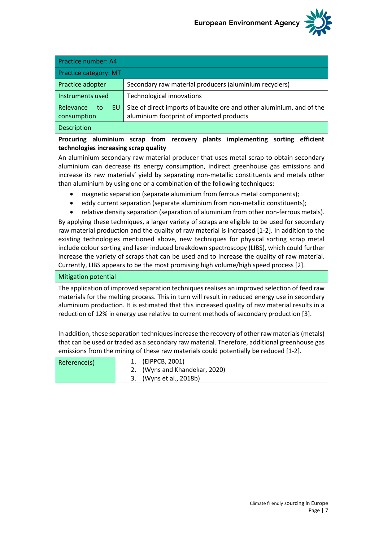

| Practice number: A4                  |                                                                                                                   |
|--------------------------------------|-------------------------------------------------------------------------------------------------------------------|
| Practice category: MT                |                                                                                                                   |
| Practice adopter                     | Secondary raw material producers (aluminium recyclers)                                                            |
| Instruments used                     | <b>Technological innovations</b>                                                                                  |
| Relevance<br>EU<br>to<br>consumption | Size of direct imports of bauxite ore and other aluminium, and of the<br>aluminium footprint of imported products |
| and the property of the con-         |                                                                                                                   |

## **Procuring aluminium scrap from recovery plants implementing sorting efficient technologies increasing scrap quality**

An aluminium secondary raw material producer that uses metal scrap to obtain secondary aluminium can decrease its energy consumption, indirect greenhouse gas emissions and increase its raw materials' yield by separating non-metallic constituents and metals other than aluminium by using one or a combination of the following techniques:

- magnetic separation (separate aluminium from ferrous metal components);
- eddy current separation (separate aluminium from non-metallic constituents);
- relative density separation (separation of aluminium from other non-ferrous metals).

By applying these techniques, a larger variety of scraps are eligible to be used for secondary raw material production and the quality of raw material is increased [1-2]. In addition to the existing technologies mentioned above, new techniques for physical sorting scrap metal include colour sorting and laser induced breakdown spectroscopy (LIBS), which could further increase the variety of scraps that can be used and to increase the quality of raw material. Currently, LIBS appears to be the most promising high volume/high speed process [2].

## Mitigation potential

The application of improved separation techniques realises an improved selection of feed raw materials for the melting process. This in turn will result in reduced energy use in secondary aluminium production. It is estimated that this increased quality of raw material results in a reduction of 12% in energy use relative to current methods of secondary production [3].

In addition, these separation techniques increase the recovery of other raw materials (metals) that can be used or traded as a secondary raw material. Therefore, additional greenhouse gas emissions from the mining of these raw materials could potentially be reduced [1-2].

| Reference(s) | 1. (EIPPCB, 2001)             |
|--------------|-------------------------------|
|              | 2. (Wyns and Khandekar, 2020) |
|              | 3. (Wyns et al., 2018b)       |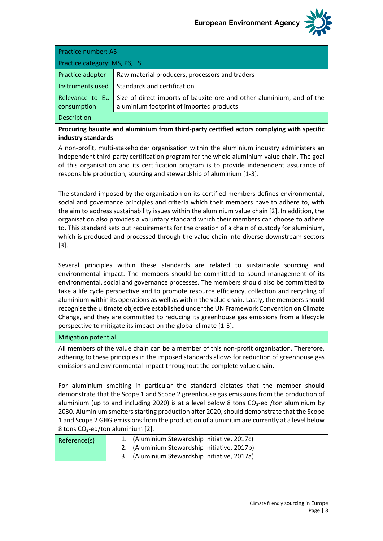

| Practice number: A5            |                                                                                                                   |
|--------------------------------|-------------------------------------------------------------------------------------------------------------------|
| Practice category: MS, PS, TS  |                                                                                                                   |
| <b>Practice adopter</b>        | Raw material producers, processors and traders                                                                    |
| Instruments used               | Standards and certification                                                                                       |
| Relevance to EU<br>consumption | Size of direct imports of bauxite ore and other aluminium, and of the<br>aluminium footprint of imported products |
| <b>Decription</b>              |                                                                                                                   |

## **Procuring bauxite and aluminium from third-party certified actors complying with specific industry standards**

A non-profit, multi-stakeholder organisation within the aluminium industry administers an independent third-party certification program for the whole aluminium value chain. The goal of this organisation and its certification program is to provide independent assurance of responsible production, sourcing and stewardship of aluminium [1-3].

The standard imposed by the organisation on its certified members defines environmental, social and governance principles and criteria which their members have to adhere to, with the aim to address sustainability issues within the aluminium value chain [2]. In addition, the organisation also provides a voluntary standard which their members can choose to adhere to. This standard sets out requirements for the creation of a chain of custody for aluminium, which is produced and processed through the value chain into diverse downstream sectors [3].

Several principles within these standards are related to sustainable sourcing and environmental impact. The members should be committed to sound management of its environmental, social and governance processes. The members should also be committed to take a life cycle perspective and to promote resource efficiency, collection and recycling of aluminium within its operations as well as within the value chain. Lastly, the members should recognise the ultimate objective established under the UN Framework Convention on Climate Change, and they are committed to reducing its greenhouse gas emissions from a lifecycle perspective to mitigate its impact on the global climate [1-3].

## Mitigation potential

All members of the value chain can be a member of this non-profit organisation. Therefore, adhering to these principles in the imposed standards allows for reduction of greenhouse gas emissions and environmental impact throughout the complete value chain.

For aluminium smelting in particular the standard dictates that the member should demonstrate that the Scope 1 and Scope 2 greenhouse gas emissions from the production of aluminium (up to and including 2020) is at a level below 8 tons  $CO<sub>2</sub>$ -eq /ton aluminium by 2030. Aluminium smelters starting production after 2020, should demonstrate that the Scope 1 and Scope 2 GHG emissions from the production of aluminium are currently at a level below 8 tons  $CO<sub>2</sub>$ -eq/ton aluminium [2].

| Reference(s) | 1. (Aluminium Stewardship Initiative, 2017c) |  |
|--------------|----------------------------------------------|--|
|              | 2. (Aluminium Stewardship Initiative, 2017b) |  |
|              | 3. (Aluminium Stewardship Initiative, 2017a) |  |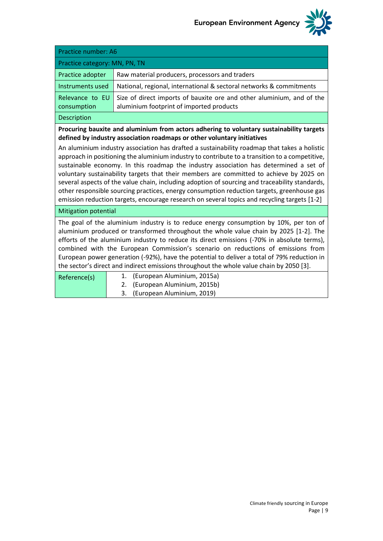

| Practice number: A6                                                                                                                                                                                                                                                                                                                                                                                                                                                                                                                                                                                                                                                                                                                                       |                                                                                                                   |  |
|-----------------------------------------------------------------------------------------------------------------------------------------------------------------------------------------------------------------------------------------------------------------------------------------------------------------------------------------------------------------------------------------------------------------------------------------------------------------------------------------------------------------------------------------------------------------------------------------------------------------------------------------------------------------------------------------------------------------------------------------------------------|-------------------------------------------------------------------------------------------------------------------|--|
| Practice category: MN, PN, TN                                                                                                                                                                                                                                                                                                                                                                                                                                                                                                                                                                                                                                                                                                                             |                                                                                                                   |  |
| Practice adopter                                                                                                                                                                                                                                                                                                                                                                                                                                                                                                                                                                                                                                                                                                                                          | Raw material producers, processors and traders                                                                    |  |
| Instruments used                                                                                                                                                                                                                                                                                                                                                                                                                                                                                                                                                                                                                                                                                                                                          | National, regional, international & sectoral networks & commitments                                               |  |
| Relevance to EU<br>consumption                                                                                                                                                                                                                                                                                                                                                                                                                                                                                                                                                                                                                                                                                                                            | Size of direct imports of bauxite ore and other aluminium, and of the<br>aluminium footprint of imported products |  |
| Description                                                                                                                                                                                                                                                                                                                                                                                                                                                                                                                                                                                                                                                                                                                                               |                                                                                                                   |  |
| Procuring bauxite and aluminium from actors adhering to voluntary sustainability targets<br>defined by industry association roadmaps or other voluntary initiatives<br>An aluminium industry association has drafted a sustainability roadmap that takes a holistic<br>approach in positioning the aluminium industry to contribute to a transition to a competitive,<br>sustainable economy. In this roadmap the industry association has determined a set of<br>voluntary sustainability targets that their members are committed to achieve by 2025 on<br>several aspects of the value chain, including adoption of sourcing and traceability standards,<br>other responsible sourcing practices, energy consumption reduction targets, greenhouse gas |                                                                                                                   |  |
| <b>Mitigation potential</b>                                                                                                                                                                                                                                                                                                                                                                                                                                                                                                                                                                                                                                                                                                                               | emission reduction targets, encourage research on several topics and recycling targets [1-2]                      |  |
| The goal of the aluminium industry is to reduce energy consumption by 10%, per ton of<br>aluminium produced or transformed throughout the whole value chain by 2025 [1-2]. The<br>efforts of the aluminium industry to reduce its direct emissions (-70% in absolute terms),<br>combined with the European Commission's scenario on reductions of emissions from<br>European power generation (-92%), have the potential to deliver a total of 79% reduction in<br>the sector's direct and indirect emissions throughout the whole value chain by 2050 [3].<br>1.<br>(European Aluminium, 2015a)<br>Reference(s)<br>(European Aluminium, 2015b)<br>2.<br>3.<br>(European Aluminium, 2019)                                                                 |                                                                                                                   |  |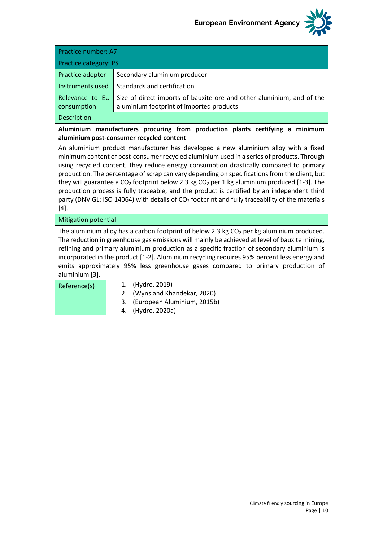

| Practice number: A7                                                                                                                                                                                                                                                                                                                                                                                                                                                                                                                                                                                                                                                                                                                                |                                                                                                                      |  |
|----------------------------------------------------------------------------------------------------------------------------------------------------------------------------------------------------------------------------------------------------------------------------------------------------------------------------------------------------------------------------------------------------------------------------------------------------------------------------------------------------------------------------------------------------------------------------------------------------------------------------------------------------------------------------------------------------------------------------------------------------|----------------------------------------------------------------------------------------------------------------------|--|
| Practice category: PS                                                                                                                                                                                                                                                                                                                                                                                                                                                                                                                                                                                                                                                                                                                              |                                                                                                                      |  |
| Practice adopter                                                                                                                                                                                                                                                                                                                                                                                                                                                                                                                                                                                                                                                                                                                                   | Secondary aluminium producer                                                                                         |  |
| Instruments used                                                                                                                                                                                                                                                                                                                                                                                                                                                                                                                                                                                                                                                                                                                                   | Standards and certification                                                                                          |  |
| Relevance to EU<br>consumption                                                                                                                                                                                                                                                                                                                                                                                                                                                                                                                                                                                                                                                                                                                     | Size of direct imports of bauxite ore and other aluminium, and of the<br>aluminium footprint of imported products    |  |
| Description                                                                                                                                                                                                                                                                                                                                                                                                                                                                                                                                                                                                                                                                                                                                        |                                                                                                                      |  |
| aluminium post-consumer recycled content<br>An aluminium product manufacturer has developed a new aluminium alloy with a fixed<br>minimum content of post-consumer recycled aluminium used in a series of products. Through<br>using recycled content, they reduce energy consumption drastically compared to primary<br>production. The percentage of scrap can vary depending on specifications from the client, but<br>they will guarantee a $CO2$ footprint below 2.3 kg $CO2$ per 1 kg aluminium produced [1-3]. The<br>production process is fully traceable, and the product is certified by an independent third<br>party (DNV GL: ISO 14064) with details of CO <sub>2</sub> footprint and fully traceability of the materials<br>$[4]$ . |                                                                                                                      |  |
| <b>Mitigation potential</b>                                                                                                                                                                                                                                                                                                                                                                                                                                                                                                                                                                                                                                                                                                                        |                                                                                                                      |  |
| The aluminium alloy has a carbon footprint of below 2.3 kg $CO2$ per kg aluminium produced.<br>The reduction in greenhouse gas emissions will mainly be achieved at level of bauxite mining,<br>refining and primary aluminium production as a specific fraction of secondary aluminium is<br>incorporated in the product [1-2]. Aluminium recycling requires 95% percent less energy and<br>emits approximately 95% less greenhouse gases compared to primary production of<br>aluminium [3].                                                                                                                                                                                                                                                     |                                                                                                                      |  |
| Reference(s)                                                                                                                                                                                                                                                                                                                                                                                                                                                                                                                                                                                                                                                                                                                                       | (Hydro, 2019)<br>1.<br>(Wyns and Khandekar, 2020)<br>2.<br>3.<br>(European Aluminium, 2015b)<br>(Hydro, 2020a)<br>4. |  |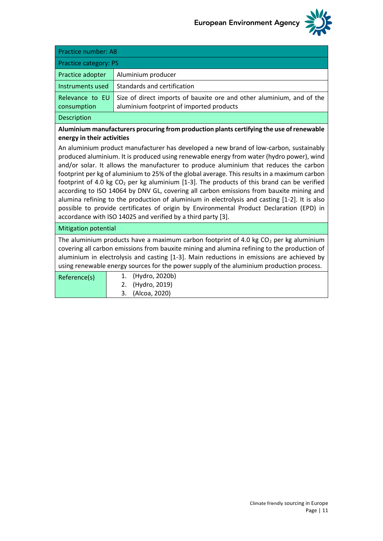

| <b>Practice number: A8</b>                                                                                                                                                                                                                                                                                                                                                                                                                                                                                                                                                                                                                                                                                                                                                                                                                                                                                                                                              |                                                                                                                   |  |
|-------------------------------------------------------------------------------------------------------------------------------------------------------------------------------------------------------------------------------------------------------------------------------------------------------------------------------------------------------------------------------------------------------------------------------------------------------------------------------------------------------------------------------------------------------------------------------------------------------------------------------------------------------------------------------------------------------------------------------------------------------------------------------------------------------------------------------------------------------------------------------------------------------------------------------------------------------------------------|-------------------------------------------------------------------------------------------------------------------|--|
| Practice category: PS                                                                                                                                                                                                                                                                                                                                                                                                                                                                                                                                                                                                                                                                                                                                                                                                                                                                                                                                                   |                                                                                                                   |  |
| Practice adopter                                                                                                                                                                                                                                                                                                                                                                                                                                                                                                                                                                                                                                                                                                                                                                                                                                                                                                                                                        | Aluminium producer                                                                                                |  |
| Instruments used                                                                                                                                                                                                                                                                                                                                                                                                                                                                                                                                                                                                                                                                                                                                                                                                                                                                                                                                                        | Standards and certification                                                                                       |  |
| Relevance to EU<br>consumption                                                                                                                                                                                                                                                                                                                                                                                                                                                                                                                                                                                                                                                                                                                                                                                                                                                                                                                                          | Size of direct imports of bauxite ore and other aluminium, and of the<br>aluminium footprint of imported products |  |
| Description                                                                                                                                                                                                                                                                                                                                                                                                                                                                                                                                                                                                                                                                                                                                                                                                                                                                                                                                                             |                                                                                                                   |  |
| Aluminium manufacturers procuring from production plants certifying the use of renewable<br>energy in their activities<br>An aluminium product manufacturer has developed a new brand of low-carbon, sustainably<br>produced aluminium. It is produced using renewable energy from water (hydro power), wind<br>and/or solar. It allows the manufacturer to produce aluminium that reduces the carbon<br>footprint per kg of aluminium to 25% of the global average. This results in a maximum carbon<br>footprint of 4.0 kg CO <sub>2</sub> per kg aluminium [1-3]. The products of this brand can be verified<br>according to ISO 14064 by DNV GL, covering all carbon emissions from bauxite mining and<br>alumina refining to the production of aluminium in electrolysis and casting [1-2]. It is also<br>possible to provide certificates of origin by Environmental Product Declaration (EPD) in<br>accordance with ISO 14025 and verified by a third party [3]. |                                                                                                                   |  |
| <b>Mitigation potential</b>                                                                                                                                                                                                                                                                                                                                                                                                                                                                                                                                                                                                                                                                                                                                                                                                                                                                                                                                             |                                                                                                                   |  |
| The aluminium products have a maximum carbon footprint of 4.0 kg $CO2$ per kg aluminium<br>covering all carbon emissions from bauxite mining and alumina refining to the production of<br>aluminium in electrolysis and casting [1-3]. Main reductions in emissions are achieved by<br>using renewable energy sources for the power supply of the aluminium production process.                                                                                                                                                                                                                                                                                                                                                                                                                                                                                                                                                                                         |                                                                                                                   |  |
| Reference(s)                                                                                                                                                                                                                                                                                                                                                                                                                                                                                                                                                                                                                                                                                                                                                                                                                                                                                                                                                            | (Hydro, 2020b)<br>1.<br>(Hydro, 2019)<br>2.<br>3.<br>(Alcoa, 2020)                                                |  |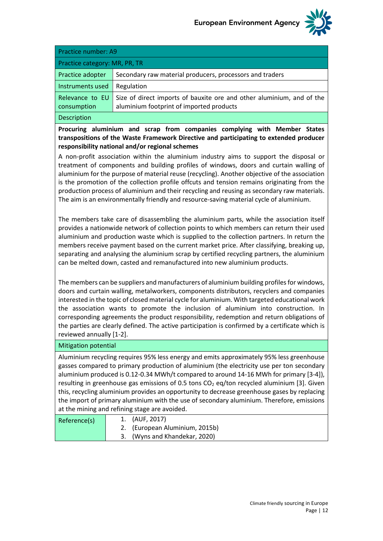

| Practice number: A9            |                                                                                                                   |
|--------------------------------|-------------------------------------------------------------------------------------------------------------------|
| Practice category: MR, PR, TR  |                                                                                                                   |
| <b>Practice adopter</b>        | Secondary raw material producers, processors and traders                                                          |
| Instruments used               | Regulation                                                                                                        |
| Relevance to EU<br>consumption | Size of direct imports of bauxite ore and other aluminium, and of the<br>aluminium footprint of imported products |
|                                |                                                                                                                   |

**Procuring aluminium and scrap from companies complying with Member States transpositions of the Waste Framework Directive and participating to extended producer responsibility national and/or regional schemes** 

A non-profit association within the aluminium industry aims to support the disposal or treatment of components and building profiles of windows, doors and curtain walling of aluminium for the purpose of material reuse (recycling). Another objective of the association is the promotion of the collection profile offcuts and tension remains originating from the production process of aluminium and their recycling and reusing as secondary raw materials. The aim is an environmentally friendly and resource-saving material cycle of aluminium.

The members take care of disassembling the aluminium parts, while the association itself provides a nationwide network of collection points to which members can return their used aluminium and production waste which is supplied to the collection partners. In return the members receive payment based on the current market price. After classifying, breaking up, separating and analysing the aluminium scrap by certified recycling partners, the aluminium can be melted down, casted and remanufactured into new aluminium products.

The members can be suppliers and manufacturers of aluminium building profiles for windows, doors and curtain walling, metalworkers, components distributors, recyclers and companies interested in the topic of closed material cycle for aluminium. With targeted educational work the association wants to promote the inclusion of aluminium into construction. In corresponding agreements the product responsibility, redemption and return obligations of the parties are clearly defined. The active participation is confirmed by a certificate which is reviewed annually [1-2].

## Mitigation potential

Aluminium recycling requires 95% less energy and emits approximately 95% less greenhouse gasses compared to primary production of aluminium (the electricity use per ton secondary aluminium produced is 0.12-0.34 MWh/t compared to around 14-16 MWh for primary [3-4]), resulting in greenhouse gas emissions of 0.5 tons  $CO<sub>2</sub>$  eq/ton recycled aluminium [3]. Given this, recycling aluminium provides an opportunity to decrease greenhouse gases by replacing the import of primary aluminium with the use of secondary aluminium. Therefore, emissions at the mining and refining stage are avoided.

| Reference(s) | 1. (AUF, 2017)                 |  |
|--------------|--------------------------------|--|
|              | 2. (European Aluminium, 2015b) |  |
|              | (Wyns and Khandekar, 2020)     |  |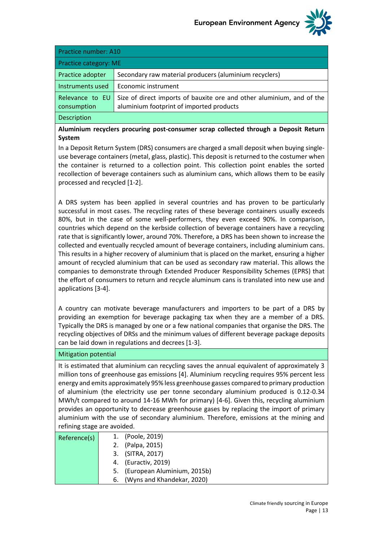

| Practice number: A10           |                                                                                                                   |
|--------------------------------|-------------------------------------------------------------------------------------------------------------------|
| <b>Practice category: ME</b>   |                                                                                                                   |
| Practice adopter               | Secondary raw material producers (aluminium recyclers)                                                            |
| Instruments used               | Economic instrument                                                                                               |
| Relevance to EU<br>consumption | Size of direct imports of bauxite ore and other aluminium, and of the<br>aluminium footprint of imported products |
| Docerintian                    |                                                                                                                   |

**Aluminium recyclers procuring post-consumer scrap collected through a Deposit Return System** 

In a Deposit Return System (DRS) consumers are charged a small deposit when buying singleuse beverage containers (metal, glass, plastic). This deposit is returned to the costumer when the container is returned to a collection point. This collection point enables the sorted recollection of beverage containers such as aluminium cans, which allows them to be easily processed and recycled [1-2].

A DRS system has been applied in several countries and has proven to be particularly successful in most cases. The recycling rates of these beverage containers usually exceeds 80%, but in the case of some well-performers, they even exceed 90%. In comparison, countries which depend on the kerbside collection of beverage containers have a recycling rate that is significantly lower, around 70%. Therefore, a DRS has been shown to increase the collected and eventually recycled amount of beverage containers, including aluminium cans. This results in a higher recovery of aluminium that is placed on the market, ensuring a higher amount of recycled aluminium that can be used as secondary raw material. This allows the companies to demonstrate through Extended Producer Responsibility Schemes (EPRS) that the effort of consumers to return and recycle aluminum cans is translated into new use and applications [3-4].

A country can motivate beverage manufacturers and importers to be part of a DRS by providing an exemption for beverage packaging tax when they are a member of a DRS. Typically the DRS is managed by one or a few national companies that organise the DRS. The recycling objectives of DRSs and the minimum values of different beverage package deposits can be laid down in regulations and decrees [1-3].

Mitigation potential

It is estimated that aluminium can recycling saves the annual equivalent of approximately 3 million tons of greenhouse gas emissions [4]. Aluminium recycling requires 95% percent less energy and emits approximately 95% less greenhouse gasses compared to primary production of aluminium (the electricity use per tonne secondary aluminium produced is 0.12-0.34 MWh/t compared to around 14-16 MWh for primary) [4-6]. Given this, recycling aluminium provides an opportunity to decrease greenhouse gases by replacing the import of primary aluminium with the use of secondary aluminium. Therefore, emissions at the mining and refining stage are avoided.

| Reference(s) | 1. (Poole, 2019)                 |
|--------------|----------------------------------|
|              | 2. (Palpa, 2015)                 |
|              | 3. (SITRA, 2017)                 |
|              | 4. (Euractiv, 2019)              |
|              | 5. (European Aluminium, 2015b)   |
|              | (Wyns and Khandekar, 2020)<br>6. |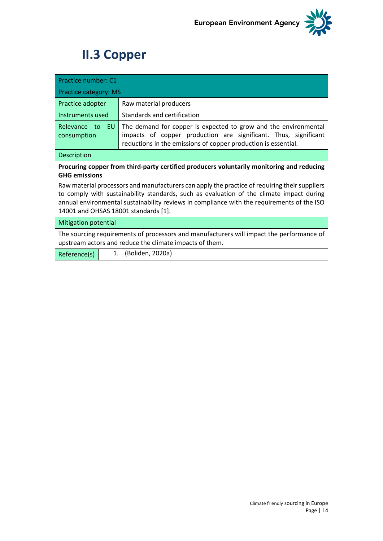

## **II.3 Copper**

<span id="page-14-0"></span>

| Practice number: C1                                                                                                                                                                                                                                                                                                             |                                                                                                                                                                                                      |  |
|---------------------------------------------------------------------------------------------------------------------------------------------------------------------------------------------------------------------------------------------------------------------------------------------------------------------------------|------------------------------------------------------------------------------------------------------------------------------------------------------------------------------------------------------|--|
| Practice category: MS                                                                                                                                                                                                                                                                                                           |                                                                                                                                                                                                      |  |
| Practice adopter                                                                                                                                                                                                                                                                                                                | Raw material producers                                                                                                                                                                               |  |
| Instruments used                                                                                                                                                                                                                                                                                                                | Standards and certification                                                                                                                                                                          |  |
| Relevance<br>EU.<br>to:<br>consumption                                                                                                                                                                                                                                                                                          | The demand for copper is expected to grow and the environmental<br>impacts of copper production are significant. Thus, significant<br>reductions in the emissions of copper production is essential. |  |
| Description                                                                                                                                                                                                                                                                                                                     |                                                                                                                                                                                                      |  |
| Procuring copper from third-party certified producers voluntarily monitoring and reducing<br><b>GHG emissions</b>                                                                                                                                                                                                               |                                                                                                                                                                                                      |  |
| Raw material processors and manufacturers can apply the practice of requiring their suppliers<br>to comply with sustainability standards, such as evaluation of the climate impact during<br>annual environmental sustainability reviews in compliance with the requirements of the ISO<br>14001 and OHSAS 18001 standards [1]. |                                                                                                                                                                                                      |  |
| <b>Mitigation potential</b>                                                                                                                                                                                                                                                                                                     |                                                                                                                                                                                                      |  |
| The sourcing requirements of processors and manufacturers will impact the performance of<br>upstream actors and reduce the climate impacts of them.                                                                                                                                                                             |                                                                                                                                                                                                      |  |
| Reference(s)                                                                                                                                                                                                                                                                                                                    | 1. (Boliden, 2020a)                                                                                                                                                                                  |  |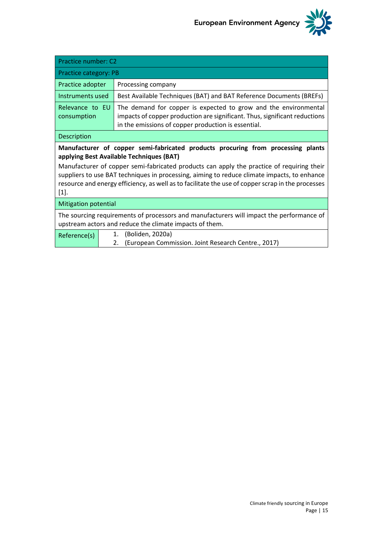

| Practice number: C2                                                                                                                                                                                                                                                                                   |                                                                                                                                                                                                      |  |
|-------------------------------------------------------------------------------------------------------------------------------------------------------------------------------------------------------------------------------------------------------------------------------------------------------|------------------------------------------------------------------------------------------------------------------------------------------------------------------------------------------------------|--|
|                                                                                                                                                                                                                                                                                                       | Practice category: PB                                                                                                                                                                                |  |
| Practice adopter                                                                                                                                                                                                                                                                                      | Processing company                                                                                                                                                                                   |  |
| Instruments used                                                                                                                                                                                                                                                                                      | Best Available Techniques (BAT) and BAT Reference Documents (BREFs)                                                                                                                                  |  |
| Relevance to EU<br>consumption                                                                                                                                                                                                                                                                        | The demand for copper is expected to grow and the environmental<br>impacts of copper production are significant. Thus, significant reductions<br>in the emissions of copper production is essential. |  |
| Description                                                                                                                                                                                                                                                                                           |                                                                                                                                                                                                      |  |
| Manufacturer of copper semi-fabricated products procuring from processing plants<br>applying Best Available Techniques (BAT)                                                                                                                                                                          |                                                                                                                                                                                                      |  |
| Manufacturer of copper semi-fabricated products can apply the practice of requiring their<br>suppliers to use BAT techniques in processing, aiming to reduce climate impacts, to enhance<br>resource and energy efficiency, as well as to facilitate the use of copper scrap in the processes<br>[1]. |                                                                                                                                                                                                      |  |
| <b>Mitigation potential</b>                                                                                                                                                                                                                                                                           |                                                                                                                                                                                                      |  |
| The sourcing requirements of processors and manufacturers will impact the performance of<br>upstream actors and reduce the climate impacts of them.                                                                                                                                                   |                                                                                                                                                                                                      |  |
| Reference(s)                                                                                                                                                                                                                                                                                          | (Boliden, 2020a)<br>1.<br>2.<br>(European Commission. Joint Research Centre., 2017)                                                                                                                  |  |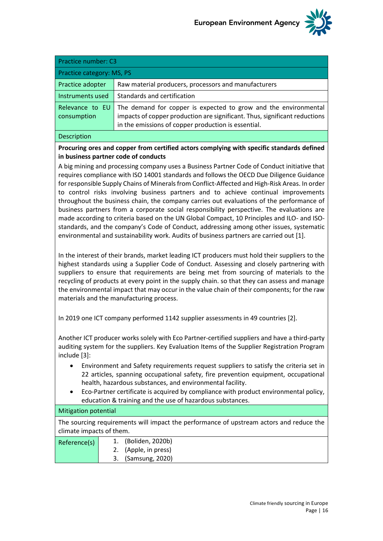

| Practice number: C3            |                                                                                                                                                                                                      |
|--------------------------------|------------------------------------------------------------------------------------------------------------------------------------------------------------------------------------------------------|
| Practice category: MS, PS      |                                                                                                                                                                                                      |
| Practice adopter               | Raw material producers, processors and manufacturers                                                                                                                                                 |
| Instruments used               | Standards and certification                                                                                                                                                                          |
| Relevance to EU<br>consumption | The demand for copper is expected to grow and the environmental<br>impacts of copper production are significant. Thus, significant reductions<br>in the emissions of copper production is essential. |
| December 144                   |                                                                                                                                                                                                      |

## **Procuring ores and copper from certified actors complying with specific standards defined in business partner code of conducts**

A big mining and processing company uses a Business Partner Code of Conduct initiative that requires compliance with ISO 14001 standards and follows the OECD Due Diligence Guidance for responsible Supply Chains of Minerals from Conflict-Affected and High-Risk Areas. In order to control risks involving business partners and to achieve continual improvements throughout the business chain, the company carries out evaluations of the performance of business partners from a corporate social responsibility perspective. The evaluations are made according to criteria based on the UN Global Compact, 10 Principles and ILO- and ISOstandards, and the company's Code of Conduct, addressing among other issues, systematic environmental and sustainability work. Audits of business partners are carried out [1].

In the interest of their brands, market leading ICT producers must hold their suppliers to the highest standards using a Supplier Code of Conduct. Assessing and closely partnering with suppliers to ensure that requirements are being met from sourcing of materials to the recycling of products at every point in the supply chain. so that they can assess and manage the environmental impact that may occur in the value chain of their components; for the raw materials and the manufacturing process.

In 2019 one ICT company performed 1142 supplier assessments in 49 countries [2].

Another ICT producer works solely with Eco Partner-certified suppliers and have a third-party auditing system for the suppliers. Key Evaluation Items of the Supplier Registration Program include [3]:

- Environment and Safety requirements request suppliers to satisfy the criteria set in 22 articles, spanning occupational safety, fire prevention equipment, occupational health, hazardous substances, and environmental facility.
- Eco-Partner certificate is acquired by compliance with product environmental policy, education & training and the use of hazardous substances.

## Mitigation potential

The sourcing requirements will impact the performance of upstream actors and reduce the climate impacts of them.

| Reference(s) | 1. (Boliden, 2020b)  |
|--------------|----------------------|
|              | 2. (Apple, in press) |
|              | 3. (Samsung, 2020)   |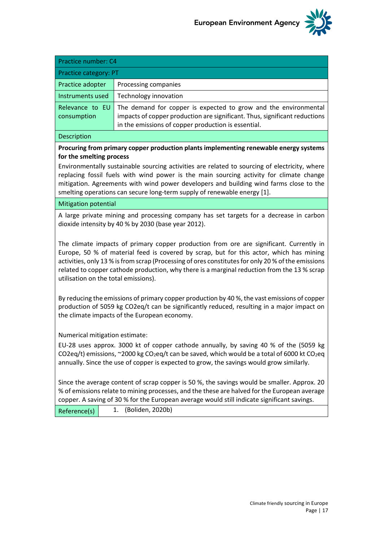

| Practice number: C4            |                                                                                                                                                                                                      |
|--------------------------------|------------------------------------------------------------------------------------------------------------------------------------------------------------------------------------------------------|
| Practice category: PT          |                                                                                                                                                                                                      |
| Practice adopter               | Processing companies                                                                                                                                                                                 |
| Instruments used               | Technology innovation                                                                                                                                                                                |
| Relevance to EU<br>consumption | The demand for copper is expected to grow and the environmental<br>impacts of copper production are significant. Thus, significant reductions<br>in the emissions of copper production is essential. |

**Procuring from primary copper production plants implementing renewable energy systems for the smelting process**

Environmentally sustainable sourcing activities are related to sourcing of electricity, where replacing fossil fuels with wind power is the main sourcing activity for climate change mitigation. Agreements with wind power developers and building wind farms close to the smelting operations can secure long-term supply of renewable energy [1].

## Mitigation potential

A large private mining and processing company has set targets for a decrease in carbon dioxide intensity by 40 % by 2030 (base year 2012).

The climate impacts of primary copper production from ore are significant. Currently in Europe, 50 % of material feed is covered by scrap, but for this actor, which has mining activities, only 13 % is from scrap (Processing of ores constitutes for only 20 % of the emissions related to copper cathode production, why there is a marginal reduction from the 13 % scrap utilisation on the total emissions).

By reducing the emissions of primary copper production by 40 %, the vast emissions of copper production of 5059 kg CO2eq/t can be significantly reduced, resulting in a major impact on the climate impacts of the European economy.

Numerical mitigation estimate:

EU-28 uses approx. 3000 kt of copper cathode annually, by saving 40 % of the (5059 kg CO2eq/t) emissions, ~2000 kg CO<sub>2</sub>eq/t can be saved, which would be a total of 6000 kt CO<sub>2</sub>eq annually. Since the use of copper is expected to grow, the savings would grow similarly.

Since the average content of scrap copper is 50 %, the savings would be smaller. Approx. 20 % of emissions relate to mining processes, and the these are halved for the European average copper. A saving of 30 % for the European average would still indicate significant savings.

Reference(s)  $\vert$  1. (Boliden, 2020b)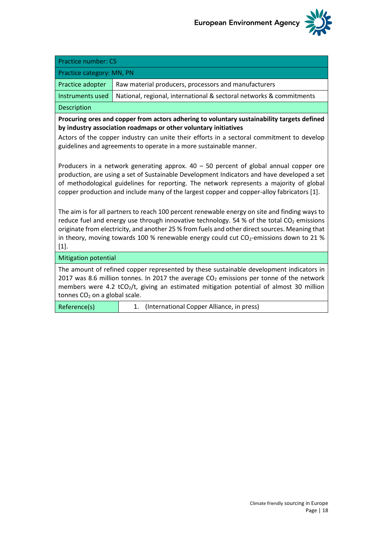

| <b>Practice number: C5</b>                                                                                                                                                                                                                                                                                                                                                                         |                                                                     |  |
|----------------------------------------------------------------------------------------------------------------------------------------------------------------------------------------------------------------------------------------------------------------------------------------------------------------------------------------------------------------------------------------------------|---------------------------------------------------------------------|--|
| Practice category: MN, PN                                                                                                                                                                                                                                                                                                                                                                          |                                                                     |  |
| Practice adopter                                                                                                                                                                                                                                                                                                                                                                                   | Raw material producers, processors and manufacturers                |  |
| Instruments used                                                                                                                                                                                                                                                                                                                                                                                   | National, regional, international & sectoral networks & commitments |  |
| Description                                                                                                                                                                                                                                                                                                                                                                                        |                                                                     |  |
| Procuring ores and copper from actors adhering to voluntary sustainability targets defined<br>by industry association roadmaps or other voluntary initiatives                                                                                                                                                                                                                                      |                                                                     |  |
| Actors of the copper industry can unite their efforts in a sectoral commitment to develop<br>guidelines and agreements to operate in a more sustainable manner.                                                                                                                                                                                                                                    |                                                                     |  |
| Producers in a network generating approx. $40 - 50$ percent of global annual copper ore<br>production, are using a set of Sustainable Development Indicators and have developed a set<br>of methodological guidelines for reporting. The network represents a majority of global<br>copper production and include many of the largest copper and copper-alloy fabricators [1].                     |                                                                     |  |
| The aim is for all partners to reach 100 percent renewable energy on site and finding ways to<br>reduce fuel and energy use through innovative technology. 54 % of the total $CO2$ emissions<br>originate from electricity, and another 25 % from fuels and other direct sources. Meaning that<br>in theory, moving towards 100 % renewable energy could cut $CO2$ -emissions down to 21 %<br>[1]. |                                                                     |  |
| <b>Mitigation potential</b>                                                                                                                                                                                                                                                                                                                                                                        |                                                                     |  |
| The amount of refined copper represented by these sustainable development indicators in<br>2017 was 8.6 million tonnes. In 2017 the average $CO2$ emissions per tonne of the network<br>members were 4.2 $tCO2/t$ , giving an estimated mitigation potential of almost 30 million<br>tonnes CO <sub>2</sub> on a global scale.                                                                     |                                                                     |  |
| Reference(s)                                                                                                                                                                                                                                                                                                                                                                                       | (International Copper Alliance, in press)<br>1.                     |  |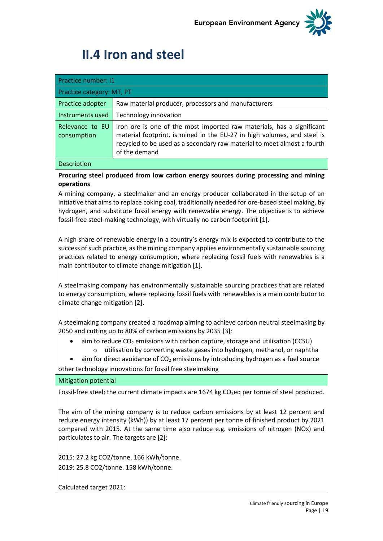

## **II.4 Iron and steel**

<span id="page-19-0"></span>

| Practice number: I1                                                                                                                                                                                                                                                                                                                                                    |                                                                                                                                                                                                                                                                                                                              |  |
|------------------------------------------------------------------------------------------------------------------------------------------------------------------------------------------------------------------------------------------------------------------------------------------------------------------------------------------------------------------------|------------------------------------------------------------------------------------------------------------------------------------------------------------------------------------------------------------------------------------------------------------------------------------------------------------------------------|--|
| Practice category: MT, PT                                                                                                                                                                                                                                                                                                                                              |                                                                                                                                                                                                                                                                                                                              |  |
| Practice adopter                                                                                                                                                                                                                                                                                                                                                       | Raw material producer, processors and manufacturers                                                                                                                                                                                                                                                                          |  |
| Instruments used                                                                                                                                                                                                                                                                                                                                                       | Technology innovation                                                                                                                                                                                                                                                                                                        |  |
| Relevance to EU<br>consumption                                                                                                                                                                                                                                                                                                                                         | Iron ore is one of the most imported raw materials, has a significant<br>material footprint, is mined in the EU-27 in high volumes, and steel is<br>recycled to be used as a secondary raw material to meet almost a fourth<br>of the demand                                                                                 |  |
| <b>Description</b>                                                                                                                                                                                                                                                                                                                                                     |                                                                                                                                                                                                                                                                                                                              |  |
| operations                                                                                                                                                                                                                                                                                                                                                             | Procuring steel produced from low carbon energy sources during processing and mining                                                                                                                                                                                                                                         |  |
| A mining company, a steelmaker and an energy producer collaborated in the setup of an<br>initiative that aims to replace coking coal, traditionally needed for ore-based steel making, by<br>hydrogen, and substitute fossil energy with renewable energy. The objective is to achieve<br>fossil-free steel-making technology, with virtually no carbon footprint [1]. |                                                                                                                                                                                                                                                                                                                              |  |
| A high share of renewable energy in a country's energy mix is expected to contribute to the<br>success of such practice, as the mining company applies environmentally sustainable sourcing<br>practices related to energy consumption, where replacing fossil fuels with renewables is a<br>main contributor to climate change mitigation [1].                        |                                                                                                                                                                                                                                                                                                                              |  |
| A steelmaking company has environmentally sustainable sourcing practices that are related<br>to energy consumption, where replacing fossil fuels with renewables is a main contributor to<br>climate change mitigation [2].                                                                                                                                            |                                                                                                                                                                                                                                                                                                                              |  |
|                                                                                                                                                                                                                                                                                                                                                                        | A steelmaking company created a roadmap aiming to achieve carbon neutral steelmaking by<br>2050 and cutting up to 80% of carbon emissions by 2035 [3]:                                                                                                                                                                       |  |
| $\circ$                                                                                                                                                                                                                                                                                                                                                                | aim to reduce $CO2$ emissions with carbon capture, storage and utilisation (CCSU)<br>utilisation by converting waste gases into hydrogen, methanol, or naphtha<br>aim for direct avoidance of CO <sub>2</sub> emissions by introducing hydrogen as a fuel source<br>other technology innovations for fossil free steelmaking |  |
| <b>Mitigation potential</b>                                                                                                                                                                                                                                                                                                                                            |                                                                                                                                                                                                                                                                                                                              |  |
|                                                                                                                                                                                                                                                                                                                                                                        | Fossil-free steel; the current climate impacts are 1674 kg CO <sub>2</sub> eq per tonne of steel produced.                                                                                                                                                                                                                   |  |
|                                                                                                                                                                                                                                                                                                                                                                        | The aim of the mining company is to reduce carbon emissions by at least 12 percent and<br>reduce energy intensity (kWh)) by at least 17 percent per tonne of finished product by 2021<br>compared with 2015. At the same time also reduce e.g. emissions of nitrogen (NOx) and<br>particulates to air. The targets are [2]:  |  |
|                                                                                                                                                                                                                                                                                                                                                                        | 2015: 27.2 kg CO2/tonne. 166 kWh/tonne.<br>2019: 25.8 CO2/tonne. 158 kWh/tonne.                                                                                                                                                                                                                                              |  |

Calculated target 2021: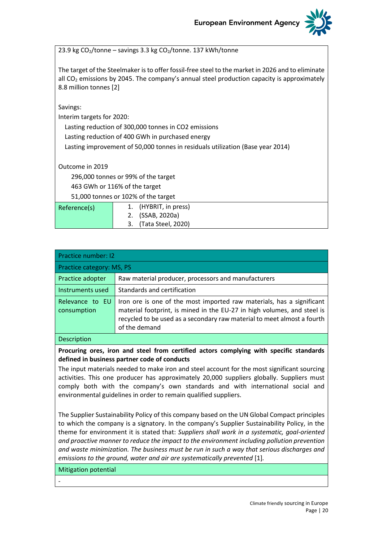

23.9 kg  $CO<sub>2</sub>/tonne - savings$  3.3 kg  $CO<sub>2</sub>/tonne$ . 137 kWh/tonne

The target of the Steelmaker is to offer fossil-free steel to the market in 2026 and to eliminate all CO<sup>2</sup> emissions by 2045. The company's annual steel production capacity is approximately 8.8 million tonnes [2]

Savings:

Interim targets for 2020:

Lasting reduction of 300,000 tonnes in CO2 emissions

Lasting reduction of 400 GWh in purchased energy

Lasting improvement of 50,000 tonnes in residuals utilization (Base year 2014)

Outcome in 2019

296,000 tonnes or 99% of the target

463 GWh or 116% of the target

51,000 tonnes or 102% of the target

| Reference(s) | 1. (HYBRIT, in press) |
|--------------|-----------------------|
|              | 2. (SSAB, 2020a)      |
|              | 3. (Tata Steel, 2020) |

| Practice number: I2            |                                                                                                                                                                                                                                              |
|--------------------------------|----------------------------------------------------------------------------------------------------------------------------------------------------------------------------------------------------------------------------------------------|
| Practice category: MS, PS      |                                                                                                                                                                                                                                              |
| Practice adopter               | Raw material producer, processors and manufacturers                                                                                                                                                                                          |
| Instruments used               | Standards and certification                                                                                                                                                                                                                  |
| Relevance to EU<br>consumption | Iron ore is one of the most imported raw materials, has a significant<br>material footprint, is mined in the EU-27 in high volumes, and steel is<br>recycled to be used as a secondary raw material to meet almost a fourth<br>of the demand |

## Description

**Procuring ores, iron and steel from certified actors complying with specific standards defined in business partner code of conducts**

The input materials needed to make iron and steel account for the most significant sourcing activities. This one producer has approximately 20,000 suppliers globally. Suppliers must comply both with the company's own standards and with international social and environmental guidelines in order to remain qualified suppliers.

The Supplier Sustainability Policy of this company based on the UN Global Compact principles to which the company is a signatory. In the company's Supplier Sustainability Policy, in the theme for environment it is stated that: *Suppliers shall work in a systematic, goal-oriented and proactive manner to reduce the impact to the environment including pollution prevention and waste minimization. The business must be run in such a way that serious discharges and emissions to the ground, water and air are systematically prevented* [1]*.*

Mitigation potential

-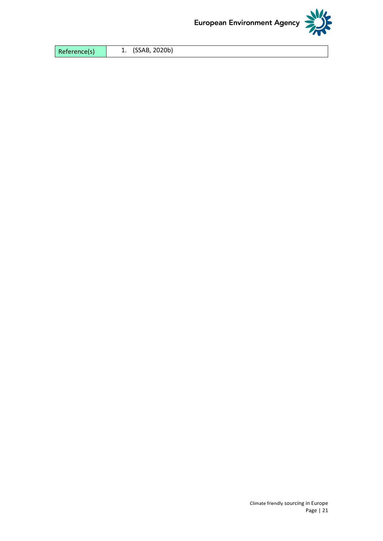

Reference(s) 1. (SSAB, 2020b)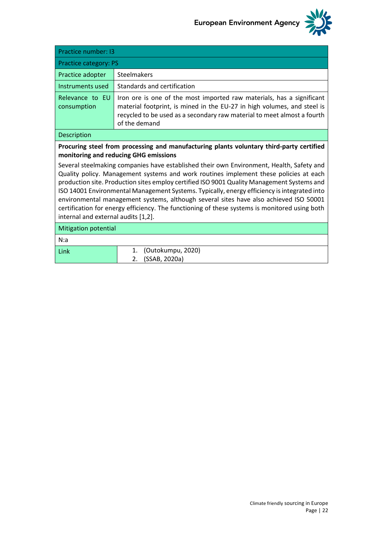

| Practice number: 13                                                                                                                                                                                                                                                                                                                                                                                                                                                                                                                                                                                                                                                                                                                                  |                                                                                                                                                                                                                                              |
|------------------------------------------------------------------------------------------------------------------------------------------------------------------------------------------------------------------------------------------------------------------------------------------------------------------------------------------------------------------------------------------------------------------------------------------------------------------------------------------------------------------------------------------------------------------------------------------------------------------------------------------------------------------------------------------------------------------------------------------------------|----------------------------------------------------------------------------------------------------------------------------------------------------------------------------------------------------------------------------------------------|
| Practice category: PS                                                                                                                                                                                                                                                                                                                                                                                                                                                                                                                                                                                                                                                                                                                                |                                                                                                                                                                                                                                              |
| Practice adopter                                                                                                                                                                                                                                                                                                                                                                                                                                                                                                                                                                                                                                                                                                                                     | <b>Steelmakers</b>                                                                                                                                                                                                                           |
| Instruments used                                                                                                                                                                                                                                                                                                                                                                                                                                                                                                                                                                                                                                                                                                                                     | Standards and certification                                                                                                                                                                                                                  |
| Relevance to EU<br>consumption                                                                                                                                                                                                                                                                                                                                                                                                                                                                                                                                                                                                                                                                                                                       | Iron ore is one of the most imported raw materials, has a significant<br>material footprint, is mined in the EU-27 in high volumes, and steel is<br>recycled to be used as a secondary raw material to meet almost a fourth<br>of the demand |
| Description                                                                                                                                                                                                                                                                                                                                                                                                                                                                                                                                                                                                                                                                                                                                          |                                                                                                                                                                                                                                              |
| Procuring steel from processing and manufacturing plants voluntary third-party certified<br>monitoring and reducing GHG emissions<br>Several steelmaking companies have established their own Environment, Health, Safety and<br>Quality policy. Management systems and work routines implement these policies at each<br>production site. Production sites employ certified ISO 9001 Quality Management Systems and<br>ISO 14001 Environmental Management Systems. Typically, energy efficiency is integrated into<br>environmental management systems, although several sites have also achieved ISO 50001<br>certification for energy efficiency. The functioning of these systems is monitored using both<br>internal and external audits [1,2]. |                                                                                                                                                                                                                                              |
| Mitigation potential                                                                                                                                                                                                                                                                                                                                                                                                                                                                                                                                                                                                                                                                                                                                 |                                                                                                                                                                                                                                              |
| N:a                                                                                                                                                                                                                                                                                                                                                                                                                                                                                                                                                                                                                                                                                                                                                  |                                                                                                                                                                                                                                              |
| Link                                                                                                                                                                                                                                                                                                                                                                                                                                                                                                                                                                                                                                                                                                                                                 | (Outokumpu, 2020)<br>1.<br>(SSAB, 2020a)<br>2.                                                                                                                                                                                               |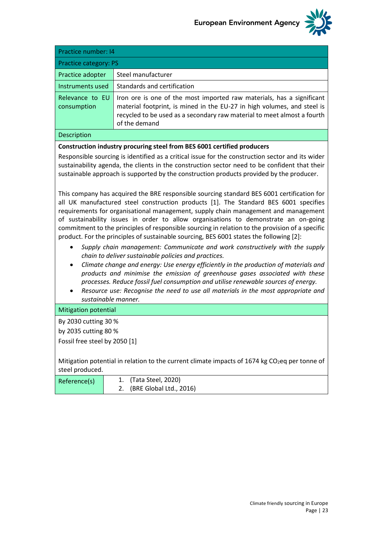

| Practice number: 14            |                                                                                                                                                                                                                                              |
|--------------------------------|----------------------------------------------------------------------------------------------------------------------------------------------------------------------------------------------------------------------------------------------|
| <b>Practice category: PS</b>   |                                                                                                                                                                                                                                              |
| Practice adopter               | Steel manufacturer                                                                                                                                                                                                                           |
| Instruments used               | Standards and certification                                                                                                                                                                                                                  |
| Relevance to EU<br>consumption | Iron ore is one of the most imported raw materials, has a significant<br>material footprint, is mined in the EU-27 in high volumes, and steel is<br>recycled to be used as a secondary raw material to meet almost a fourth<br>of the demand |
|                                |                                                                                                                                                                                                                                              |

## **Construction industry procuring steel from BES 6001 certified producers**

Responsible sourcing is identified as a critical issue for the construction sector and its wider sustainability agenda, the clients in the construction sector need to be confident that their sustainable approach is supported by the construction products provided by the producer.

This company has acquired the BRE responsible sourcing standard BES 6001 certification for all UK manufactured steel construction products [1]. The Standard BES 6001 specifies requirements for organisational management, supply chain management and management of sustainability issues in order to allow organisations to demonstrate an on-going commitment to the principles of responsible sourcing in relation to the provision of a specific product. For the principles of sustainable sourcing, BES 6001 states the following [2]:

- *Supply chain management: Communicate and work constructively with the supply chain to deliver sustainable policies and practices.*
- *Climate change and energy: Use energy efficiently in the production of materials and products and minimise the emission of greenhouse gases associated with these processes. Reduce fossil fuel consumption and utilise renewable sources of energy.*
- *Resource use: Recognise the need to use all materials in the most appropriate and sustainable manner.*

## Mitigation potential

By 2030 cutting 30 %

by 2035 cutting 80 %

Fossil free steel by 2050 [1]

Mitigation potential in relation to the current climate impacts of 1674 kg  $CO<sub>2</sub>$ eq per tonne of steel produced.

| Reference(s) | 1. (Tata Steel, 2020)   |  |
|--------------|-------------------------|--|
|              | (BRE Global Ltd., 2016) |  |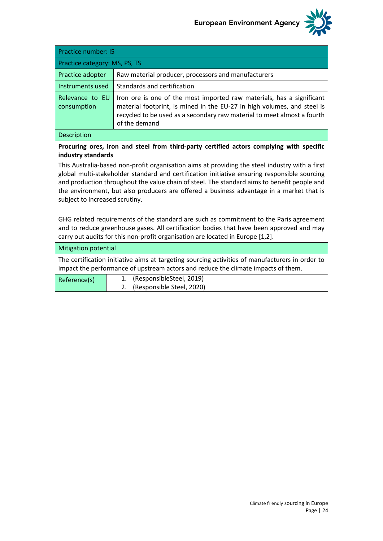

| <b>Practice number: I5</b>     |                                                                                                                                                                                                                                              |
|--------------------------------|----------------------------------------------------------------------------------------------------------------------------------------------------------------------------------------------------------------------------------------------|
| Practice category: MS, PS, TS  |                                                                                                                                                                                                                                              |
| Practice adopter               | Raw material producer, processors and manufacturers                                                                                                                                                                                          |
| Instruments used               | Standards and certification                                                                                                                                                                                                                  |
| Relevance to EU<br>consumption | Iron ore is one of the most imported raw materials, has a significant<br>material footprint, is mined in the EU-27 in high volumes, and steel is<br>recycled to be used as a secondary raw material to meet almost a fourth<br>of the demand |
| Description                    |                                                                                                                                                                                                                                              |

## **Procuring ores, iron and steel from third-party certified actors complying with specific industry standards**

This Australia-based non-profit organisation aims at providing the steel industry with a first global multi-stakeholder standard and certification initiative ensuring responsible sourcing and production throughout the value chain of steel. The standard aims to benefit people and the environment, but also producers are offered a business advantage in a market that is subject to increased scrutiny.

GHG related requirements of the standard are such as commitment to the Paris agreement and to reduce greenhouse gases. All certification bodies that have been approved and may carry out audits for this non-profit organisation are located in Europe [1,2].

## Mitigation potential

The certification initiative aims at targeting sourcing activities of manufacturers in order to impact the performance of upstream actors and reduce the climate impacts of them.

| Reference(s) | 1. (ResponsibleSteel, 2019) |  |
|--------------|-----------------------------|--|
|              | (Responsible Steel, 2020)   |  |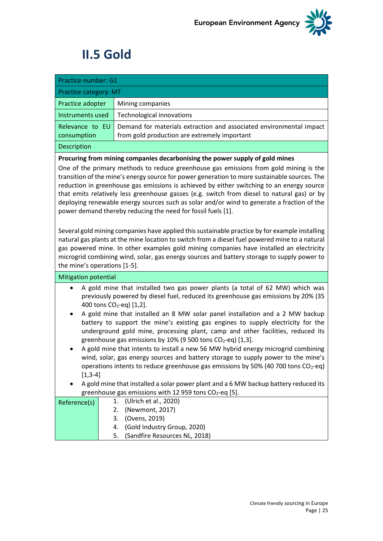

## <span id="page-25-0"></span>**II.5 Gold**

| Practice number: G1                                                                                                                                                                                                                                                                                                                                                                                                                                                                                                                                                                                                                                                                                                                                                                                                                            |  |                                                                                                                     |
|------------------------------------------------------------------------------------------------------------------------------------------------------------------------------------------------------------------------------------------------------------------------------------------------------------------------------------------------------------------------------------------------------------------------------------------------------------------------------------------------------------------------------------------------------------------------------------------------------------------------------------------------------------------------------------------------------------------------------------------------------------------------------------------------------------------------------------------------|--|---------------------------------------------------------------------------------------------------------------------|
| Practice category: MT                                                                                                                                                                                                                                                                                                                                                                                                                                                                                                                                                                                                                                                                                                                                                                                                                          |  |                                                                                                                     |
| Practice adopter                                                                                                                                                                                                                                                                                                                                                                                                                                                                                                                                                                                                                                                                                                                                                                                                                               |  | Mining companies                                                                                                    |
| Instruments used                                                                                                                                                                                                                                                                                                                                                                                                                                                                                                                                                                                                                                                                                                                                                                                                                               |  | <b>Technological innovations</b>                                                                                    |
| Relevance to EU<br>consumption                                                                                                                                                                                                                                                                                                                                                                                                                                                                                                                                                                                                                                                                                                                                                                                                                 |  | Demand for materials extraction and associated environmental impact<br>from gold production are extremely important |
| Description                                                                                                                                                                                                                                                                                                                                                                                                                                                                                                                                                                                                                                                                                                                                                                                                                                    |  |                                                                                                                     |
|                                                                                                                                                                                                                                                                                                                                                                                                                                                                                                                                                                                                                                                                                                                                                                                                                                                |  | Procuring from mining companies decarbonising the power supply of gold mines                                        |
| One of the primary methods to reduce greenhouse gas emissions from gold mining is the<br>transition of the mine's energy source for power generation to more sustainable sources. The<br>reduction in greenhouse gas emissions is achieved by either switching to an energy source<br>that emits relatively less greenhouse gasses (e.g. switch from diesel to natural gas) or by<br>deploying renewable energy sources such as solar and/or wind to generate a fraction of the<br>power demand thereby reducing the need for fossil fuels [1].<br>Several gold mining companies have applied this sustainable practice by for example installing<br>natural gas plants at the mine location to switch from a diesel fuel powered mine to a natural<br>gas powered mine. In other examples gold mining companies have installed an electricity |  |                                                                                                                     |
| the mine's operations [1-5].                                                                                                                                                                                                                                                                                                                                                                                                                                                                                                                                                                                                                                                                                                                                                                                                                   |  | microgrid combining wind, solar, gas energy sources and battery storage to supply power to                          |
| Mitigation potential                                                                                                                                                                                                                                                                                                                                                                                                                                                                                                                                                                                                                                                                                                                                                                                                                           |  |                                                                                                                     |
| A gold mine that installed two gas power plants (a total of 62 MW) which was<br>$\bullet$<br>previously powered by diesel fuel, reduced its greenhouse gas emissions by 20% (35<br>400 tons CO <sub>2</sub> -eq) [1,2].<br>A gold mine that installed an 8 MW solar panel installation and a 2 MW backup<br>٠<br>battery to support the mine's existing gas engines to supply electricity for the<br>underground gold mine, processing plant, camp and other facilities, reduced its<br>greenhouse gas emissions by 10% (9 500 tons $CO2$ -eq) [1,3].<br>A gold mine that intents to install a new 56 MW hybrid energy microgrid combining<br>wind, solar, gas energy sources and battery storage to supply power to the mine's<br>operations intents to reduce greenhouse gas emissions by 50% (40 700 tons CO <sub>2</sub> -eq)<br>$[1,3-4]$ |  |                                                                                                                     |
| A gold mine that installed a solar power plant and a 6 MW backup battery reduced its<br>greenhouse gas emissions with 12 959 tons $CO2$ -eq [5].                                                                                                                                                                                                                                                                                                                                                                                                                                                                                                                                                                                                                                                                                               |  |                                                                                                                     |
| Reference(s)                                                                                                                                                                                                                                                                                                                                                                                                                                                                                                                                                                                                                                                                                                                                                                                                                                   |  | (Ulrich et al., 2020)<br>1.<br>(Newmont, 2017)<br>2.<br>(Ovens, 2019)<br>3.<br>(Gold Industry Group, 2020)<br>4.    |

5. (Sandfire Resources NL, 2018)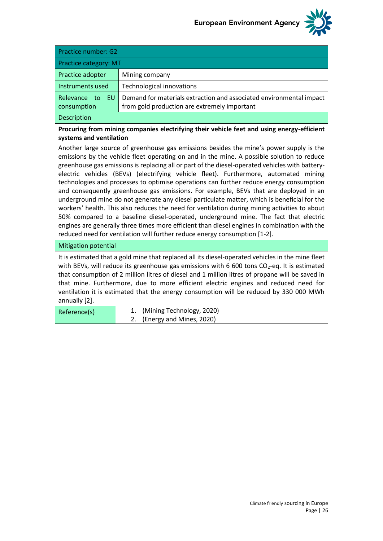

| Practice number: G2                                                                                                                                                                                                                                                                                                                                                                                                                                                                                                                                                                                                                                                                                                                                                                                                                                                                                                                                                                                                                                                                                                                                                |                                                                                                                     |  |
|--------------------------------------------------------------------------------------------------------------------------------------------------------------------------------------------------------------------------------------------------------------------------------------------------------------------------------------------------------------------------------------------------------------------------------------------------------------------------------------------------------------------------------------------------------------------------------------------------------------------------------------------------------------------------------------------------------------------------------------------------------------------------------------------------------------------------------------------------------------------------------------------------------------------------------------------------------------------------------------------------------------------------------------------------------------------------------------------------------------------------------------------------------------------|---------------------------------------------------------------------------------------------------------------------|--|
| Practice category: MT                                                                                                                                                                                                                                                                                                                                                                                                                                                                                                                                                                                                                                                                                                                                                                                                                                                                                                                                                                                                                                                                                                                                              |                                                                                                                     |  |
| Practice adopter                                                                                                                                                                                                                                                                                                                                                                                                                                                                                                                                                                                                                                                                                                                                                                                                                                                                                                                                                                                                                                                                                                                                                   | Mining company                                                                                                      |  |
| Instruments used                                                                                                                                                                                                                                                                                                                                                                                                                                                                                                                                                                                                                                                                                                                                                                                                                                                                                                                                                                                                                                                                                                                                                   | <b>Technological innovations</b>                                                                                    |  |
| Relevance<br>to<br><b>FU</b><br>consumption                                                                                                                                                                                                                                                                                                                                                                                                                                                                                                                                                                                                                                                                                                                                                                                                                                                                                                                                                                                                                                                                                                                        | Demand for materials extraction and associated environmental impact<br>from gold production are extremely important |  |
| Description                                                                                                                                                                                                                                                                                                                                                                                                                                                                                                                                                                                                                                                                                                                                                                                                                                                                                                                                                                                                                                                                                                                                                        |                                                                                                                     |  |
| Procuring from mining companies electrifying their vehicle feet and using energy-efficient<br>systems and ventilation<br>Another large source of greenhouse gas emissions besides the mine's power supply is the<br>emissions by the vehicle fleet operating on and in the mine. A possible solution to reduce<br>greenhouse gas emissions is replacing all or part of the diesel-operated vehicles with battery-<br>electric vehicles (BEVs) (electrifying vehicle fleet). Furthermore, automated mining<br>technologies and processes to optimise operations can further reduce energy consumption<br>and consequently greenhouse gas emissions. For example, BEVs that are deployed in an<br>underground mine do not generate any diesel particulate matter, which is beneficial for the<br>workers' health. This also reduces the need for ventilation during mining activities to about<br>50% compared to a baseline diesel-operated, underground mine. The fact that electric<br>engines are generally three times more efficient than diesel engines in combination with the<br>reduced need for ventilation will further reduce energy consumption [1-2]. |                                                                                                                     |  |
| <b>Mitigation potential</b>                                                                                                                                                                                                                                                                                                                                                                                                                                                                                                                                                                                                                                                                                                                                                                                                                                                                                                                                                                                                                                                                                                                                        |                                                                                                                     |  |
| It is estimated that a gold mine that replaced all its diesel-operated vehicles in the mine fleet<br>with BEVs, will reduce its greenhouse gas emissions with 6 600 tons $CO2$ -eq. It is estimated<br>that consumption of 2 million litres of diesel and 1 million litres of propane will be saved in<br>that mine. Furthermore, due to more efficient electric engines and reduced need for<br>ventilation it is estimated that the energy consumption will be reduced by 330 000 MWh<br>annually [2].                                                                                                                                                                                                                                                                                                                                                                                                                                                                                                                                                                                                                                                           |                                                                                                                     |  |
| Reference(s)                                                                                                                                                                                                                                                                                                                                                                                                                                                                                                                                                                                                                                                                                                                                                                                                                                                                                                                                                                                                                                                                                                                                                       | 1.<br>(Mining Technology, 2020)<br>(Energy and Mines, 2020)<br>2.                                                   |  |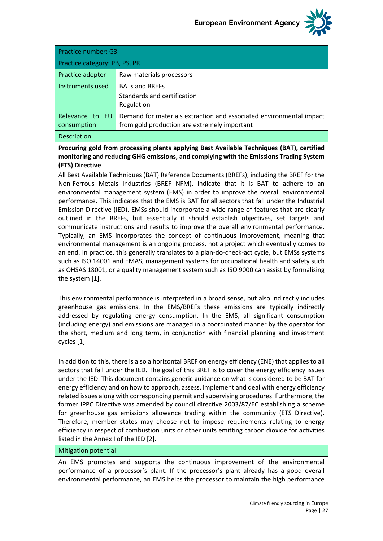

| Practice number: G3            |                                                                                                                     |
|--------------------------------|---------------------------------------------------------------------------------------------------------------------|
| Practice category: PB, PS, PR  |                                                                                                                     |
| Practice adopter               | Raw materials processors                                                                                            |
| Instruments used               | <b>BATs and BREFs</b><br>Standards and certification<br>Regulation                                                  |
| Relevance to EU<br>consumption | Demand for materials extraction and associated environmental impact<br>from gold production are extremely important |
| Description                    |                                                                                                                     |

**Procuring gold from processing plants applying Best Available Techniques (BAT), certified monitoring and reducing GHG emissions, and complying with the Emissions Trading System (ETS) Directive**

All Best Available Techniques (BAT) Reference Documents (BREFs), including the BREF for the Non-Ferrous Metals Industries (BREF NFM), indicate that it is BAT to adhere to an environmental management system (EMS) in order to improve the overall environmental performance. This indicates that the EMS is BAT for all sectors that fall under the Industrial Emission Directive (IED). EMSs should incorporate a wide range of features that are clearly outlined in the BREFs, but essentially it should establish objectives, set targets and communicate instructions and results to improve the overall environmental performance. Typically, an EMS incorporates the concept of continuous improvement, meaning that environmental management is an ongoing process, not a project which eventually comes to an end. In practice, this generally translates to a plan-do-check-act cycle, but EMSs systems such as ISO 14001 and EMAS, management systems for occupational health and safety such as OHSAS 18001, or a quality management system such as ISO 9000 can assist by formalising the system [1].

This environmental performance is interpreted in a broad sense, but also indirectly includes greenhouse gas emissions. In the EMS/BREFs these emissions are typically indirectly addressed by regulating energy consumption. In the EMS, all significant consumption (including energy) and emissions are managed in a coordinated manner by the operator for the short, medium and long term, in conjunction with financial planning and investment cycles [1].

In addition to this, there is also a horizontal BREF on energy efficiency (ENE) that applies to all sectors that fall under the IED. The goal of this BREF is to cover the energy efficiency issues under the IED. This document contains generic guidance on what is considered to be BAT for energy efficiency and on how to approach, assess, implement and deal with energy efficiency related issues along with corresponding permit and supervising procedures. Furthermore, the former IPPC Directive was amended by council directive 2003/87/EC establishing a scheme for greenhouse gas emissions allowance trading within the community (ETS Directive). Therefore, member states may choose not to impose requirements relating to energy efficiency in respect of combustion units or other units emitting carbon dioxide for activities listed in the Annex I of the IED [2].

## Mitigation potential

An EMS promotes and supports the continuous improvement of the environmental performance of a processor's plant. If the processor's plant already has a good overall environmental performance, an EMS helps the processor to maintain the high performance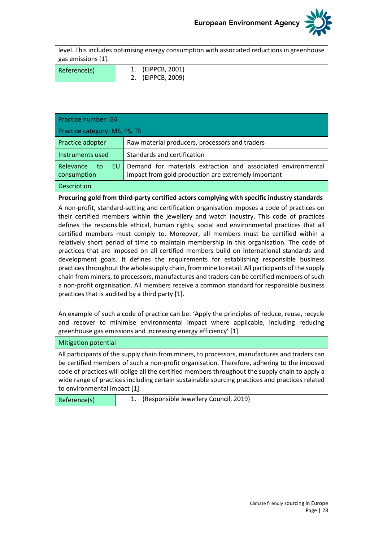

level. This includes optimising energy consumption with associated reductions in greenhouse gas emissions [1].

| Reference(s) | (EIPPCB, 2001)<br>(EIPPCB, 2009)<br>z. |
|--------------|----------------------------------------|
|              |                                        |

| Practice number: G4                  |                                                                                                                     |  |
|--------------------------------------|---------------------------------------------------------------------------------------------------------------------|--|
| Practice category: MS, PS, TS        |                                                                                                                     |  |
| Practice adopter                     | Raw material producers, processors and traders                                                                      |  |
| Instruments used                     | Standards and certification                                                                                         |  |
| Relevance<br>EU<br>to<br>consumption | Demand for materials extraction and associated environmental<br>impact from gold production are extremely important |  |
| Description                          |                                                                                                                     |  |

**Procuring gold from third-party certified actors complying with specific industry standards** 

A non-profit, standard-setting and certification organisation imposes a code of practices on their certified members within the jewellery and watch industry. This code of practices defines the responsible ethical, human rights, social and environmental practices that all certified members must comply to. Moreover, all members must be certified within a relatively short period of time to maintain membership in this organisation. The code of practices that are imposed on all certified members build on international standards and development goals. It defines the requirements for establishing responsible business practices throughout the whole supply chain, from mine to retail. All participants of the supply chain from miners, to processors, manufactures and traders can be certified members of such a non-profit organisation. All members receive a common standard for responsible business practices that is audited by a third party [1].

An example of such a code of practice can be: 'Apply the principles of reduce, reuse, recycle and recover to minimise environmental impact where applicable, including reducing greenhouse gas emissions and increasing energy efficiency' [1].

## Mitigation potential

All participants of the supply chain from miners, to processors, manufactures and traders can be certified members of such a non-profit organisation. Therefore, adhering to the imposed code of practices will oblige all the certified members throughout the supply chain to apply a wide range of practices including certain sustainable sourcing practices and practices related to environmental impact [1].

Reference(s) 1. (Responsible Jewellery Council, 2019)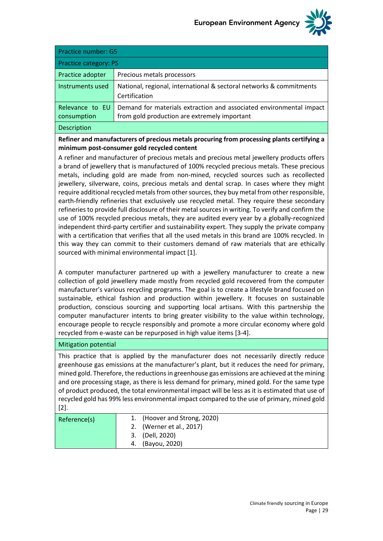

| <b>Practice number: G5</b>     |                                                                                                                     |
|--------------------------------|---------------------------------------------------------------------------------------------------------------------|
| <b>Practice category: PS</b>   |                                                                                                                     |
| Practice adopter               | Precious metals processors                                                                                          |
| Instruments used               | National, regional, international & sectoral networks & commitments<br>Certification                                |
| Relevance to EU<br>consumption | Demand for materials extraction and associated environmental impact<br>from gold production are extremely important |
|                                |                                                                                                                     |

## **Refiner and manufacturers of precious metals procuring from processing plants certifying a minimum post-consumer gold recycled content**

A refiner and manufacturer of precious metals and precious metal jewellery products offers a brand of jewellery that is manufactured of 100% recycled precious metals. These precious metals, including gold are made from non-mined, recycled sources such as recollected jewellery, silverware, coins, precious metals and dental scrap. In cases where they might require additional recycled metals from other sources, they buy metal from other responsible, earth-friendly refineries that exclusively use recycled metal. They require these secondary refineries to provide full disclosure of their metal sources in writing. To verify and confirm the use of 100% recycled precious metals, they are audited every year by a globally-recognized independent third-party certifier and sustainability expert. They supply the private company with a certification that verifies that all the used metals in this brand are 100% recycled. In this way they can commit to their customers demand of raw materials that are ethically sourced with minimal environmental impact [1].

A computer manufacturer partnered up with a jewellery manufacturer to create a new collection of gold jewellery made mostly from recycled gold recovered from the computer manufacturer's various recycling programs. The goal is to create a lifestyle brand focused on sustainable, ethical fashion and production within jewellery. It focuses on sustainable production, conscious sourcing and supporting local artisans. With this partnership the computer manufacturer intents to bring greater visibility to the value within technology, encourage people to recycle responsibly and promote a more circular economy where gold recycled from e-waste can be repurposed in high value items [3-4].

## Mitigation potential

This practice that is applied by the manufacturer does not necessarily directly reduce greenhouse gas emissions at the manufacturer's plant, but it reduces the need for primary, mined gold. Therefore, the reductions in greenhouse gas emissions are achieved at the mining and ore processing stage, as there is less demand for primary, mined gold. For the same type of product produced, the total environmental impact will be less as it is estimated that use of recycled gold has 99% less environmental impact compared to the use of primary, mined gold [2].

- Reference(s)  $\begin{vmatrix} 1. & \text{(Hoover and Strong, 2020)} \end{vmatrix}$ 
	- 2. (Werner et al., 2017)
		- 3. (Dell, 2020)
		- 4. (Bayou, 2020)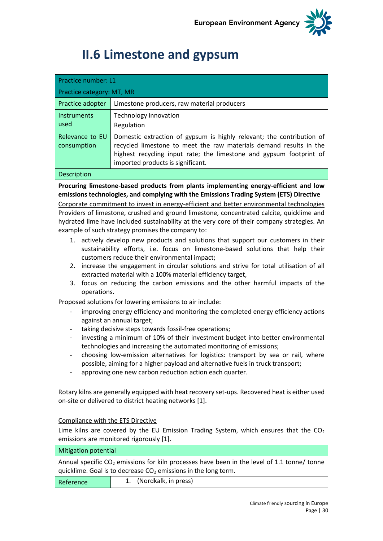

## <span id="page-30-0"></span>**II.6 Limestone and gypsum**

| Practice number: L1                                                                                                                                                                                                                                                                                                                                                                                                                                                                                                                                                                                                                                                                                                                                                                                                                                                                                                                                                                                                    |                                                                                                                                                                                                                                                         |
|------------------------------------------------------------------------------------------------------------------------------------------------------------------------------------------------------------------------------------------------------------------------------------------------------------------------------------------------------------------------------------------------------------------------------------------------------------------------------------------------------------------------------------------------------------------------------------------------------------------------------------------------------------------------------------------------------------------------------------------------------------------------------------------------------------------------------------------------------------------------------------------------------------------------------------------------------------------------------------------------------------------------|---------------------------------------------------------------------------------------------------------------------------------------------------------------------------------------------------------------------------------------------------------|
| Practice category: MT, MR                                                                                                                                                                                                                                                                                                                                                                                                                                                                                                                                                                                                                                                                                                                                                                                                                                                                                                                                                                                              |                                                                                                                                                                                                                                                         |
| Practice adopter                                                                                                                                                                                                                                                                                                                                                                                                                                                                                                                                                                                                                                                                                                                                                                                                                                                                                                                                                                                                       | Limestone producers, raw material producers                                                                                                                                                                                                             |
| Instruments<br>used                                                                                                                                                                                                                                                                                                                                                                                                                                                                                                                                                                                                                                                                                                                                                                                                                                                                                                                                                                                                    | Technology innovation<br>Regulation                                                                                                                                                                                                                     |
| Relevance to EU<br>consumption                                                                                                                                                                                                                                                                                                                                                                                                                                                                                                                                                                                                                                                                                                                                                                                                                                                                                                                                                                                         | Domestic extraction of gypsum is highly relevant; the contribution of<br>recycled limestone to meet the raw materials demand results in the<br>highest recycling input rate; the limestone and gypsum footprint of<br>imported products is significant. |
| Description                                                                                                                                                                                                                                                                                                                                                                                                                                                                                                                                                                                                                                                                                                                                                                                                                                                                                                                                                                                                            |                                                                                                                                                                                                                                                         |
| Procuring limestone-based products from plants implementing energy-efficient and low<br>emissions technologies, and complying with the Emissions Trading System (ETS) Directive<br>Corporate commitment to invest in energy-efficient and better environmental technologies<br>Providers of limestone, crushed and ground limestone, concentrated calcite, quicklime and<br>hydrated lime have included sustainability at the very core of their company strategies. An<br>example of such strategy promises the company to:<br>1. actively develop new products and solutions that support our customers in their<br>sustainability efforts, i.e. focus on limestone-based solutions that help their<br>customers reduce their environmental impact;<br>increase the engagement in circular solutions and strive for total utilisation of all<br>2.<br>extracted material with a 100% material efficiency target,<br>focus on reducing the carbon emissions and the other harmful impacts of the<br>3.<br>operations. |                                                                                                                                                                                                                                                         |
| Proposed solutions for lowering emissions to air include:<br>improving energy efficiency and monitoring the completed energy efficiency actions<br>against an annual target;<br>taking decisive steps towards fossil-free operations;<br>$\qquad \qquad \blacksquare$<br>investing a minimum of 10% of their investment budget into better environmental<br>$\overline{\phantom{a}}$<br>technologies and increasing the automated monitoring of emissions;<br>choosing low-emission alternatives for logistics: transport by sea or rail, where<br>$\overline{\phantom{a}}$<br>possible, aiming for a higher payload and alternative fuels in truck transport;<br>approving one new carbon reduction action each quarter.                                                                                                                                                                                                                                                                                              |                                                                                                                                                                                                                                                         |
| Rotary kilns are generally equipped with heat recovery set-ups. Recovered heat is either used<br>on-site or delivered to district heating networks [1].                                                                                                                                                                                                                                                                                                                                                                                                                                                                                                                                                                                                                                                                                                                                                                                                                                                                |                                                                                                                                                                                                                                                         |
| <b>Compliance with the ETS Directive</b><br>Lime kilns are covered by the EU Emission Trading System, which ensures that the $CO2$<br>emissions are monitored rigorously [1].                                                                                                                                                                                                                                                                                                                                                                                                                                                                                                                                                                                                                                                                                                                                                                                                                                          |                                                                                                                                                                                                                                                         |
| <b>Mitigation potential</b>                                                                                                                                                                                                                                                                                                                                                                                                                                                                                                                                                                                                                                                                                                                                                                                                                                                                                                                                                                                            |                                                                                                                                                                                                                                                         |
|                                                                                                                                                                                                                                                                                                                                                                                                                                                                                                                                                                                                                                                                                                                                                                                                                                                                                                                                                                                                                        | Annual specific CO <sub>2</sub> emissions for kiln processes have been in the level of 1.1 tonne/ tonne<br>quicklime. Goal is to decrease CO <sub>2</sub> emissions in the long term.                                                                   |
| Reference                                                                                                                                                                                                                                                                                                                                                                                                                                                                                                                                                                                                                                                                                                                                                                                                                                                                                                                                                                                                              | (Nordkalk, in press)<br>1.                                                                                                                                                                                                                              |
|                                                                                                                                                                                                                                                                                                                                                                                                                                                                                                                                                                                                                                                                                                                                                                                                                                                                                                                                                                                                                        |                                                                                                                                                                                                                                                         |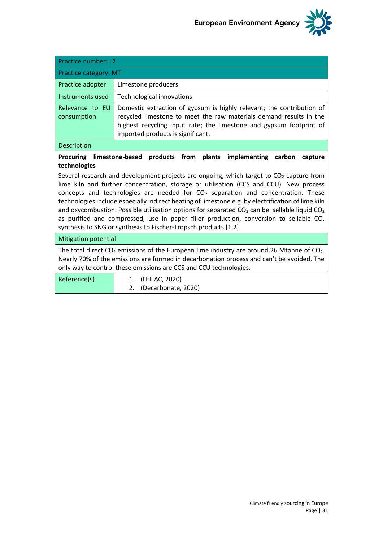

| Practice number: L2                                                                                                                                                                                                                                                                                                                                                                                                                                                                                                                                                                                                                                                                                                                                 |                                                                                                                                                                                                                                                                  |
|-----------------------------------------------------------------------------------------------------------------------------------------------------------------------------------------------------------------------------------------------------------------------------------------------------------------------------------------------------------------------------------------------------------------------------------------------------------------------------------------------------------------------------------------------------------------------------------------------------------------------------------------------------------------------------------------------------------------------------------------------------|------------------------------------------------------------------------------------------------------------------------------------------------------------------------------------------------------------------------------------------------------------------|
| Practice category: MT                                                                                                                                                                                                                                                                                                                                                                                                                                                                                                                                                                                                                                                                                                                               |                                                                                                                                                                                                                                                                  |
| Practice adopter                                                                                                                                                                                                                                                                                                                                                                                                                                                                                                                                                                                                                                                                                                                                    | Limestone producers                                                                                                                                                                                                                                              |
| Instruments used                                                                                                                                                                                                                                                                                                                                                                                                                                                                                                                                                                                                                                                                                                                                    | <b>Technological innovations</b>                                                                                                                                                                                                                                 |
| Relevance to EU<br>consumption                                                                                                                                                                                                                                                                                                                                                                                                                                                                                                                                                                                                                                                                                                                      | Domestic extraction of gypsum is highly relevant; the contribution of<br>recycled limestone to meet the raw materials demand results in the<br>highest recycling input rate; the limestone and gypsum footprint of<br>imported products is significant.          |
| Description                                                                                                                                                                                                                                                                                                                                                                                                                                                                                                                                                                                                                                                                                                                                         |                                                                                                                                                                                                                                                                  |
| Procuring limestone-based products from plants implementing carbon<br>capture<br>technologies<br>Several research and development projects are ongoing, which target to $CO2$ capture from<br>lime kiln and further concentration, storage or utilisation (CCS and CCU). New process<br>concepts and technologies are needed for $CO2$ separation and concentration. These<br>technologies include especially indirect heating of limestone e.g. by electrification of lime kiln<br>and oxycombustion. Possible utilisation options for separated $CO2$ can be: sellable liquid $CO2$<br>as purified and compressed, use in paper filler production, conversion to sellable CO,<br>synthesis to SNG or synthesis to Fischer-Tropsch products [1,2]. |                                                                                                                                                                                                                                                                  |
| <b>Mitigation potential</b>                                                                                                                                                                                                                                                                                                                                                                                                                                                                                                                                                                                                                                                                                                                         |                                                                                                                                                                                                                                                                  |
|                                                                                                                                                                                                                                                                                                                                                                                                                                                                                                                                                                                                                                                                                                                                                     | The total direct $CO2$ emissions of the European lime industry are around 26 Mtonne of $CO2$ .<br>Nearly 70% of the emissions are formed in decarbonation process and can't be avoided. The<br>only way to control these emissions are CCS and CCU technologies. |
| Reference(s)                                                                                                                                                                                                                                                                                                                                                                                                                                                                                                                                                                                                                                                                                                                                        | (LEILAC, 2020)<br>$\mathbf{1}$ .<br>(Decarbonate, 2020)<br>2.                                                                                                                                                                                                    |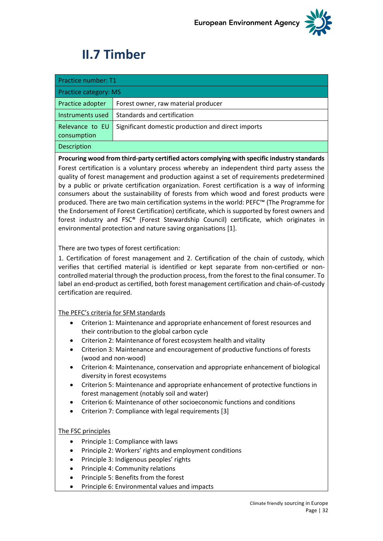

## <span id="page-32-0"></span>**II.7 Timber**

| Practice number: T1                                                                                                                                                          |                                                                                                                                                                                                                                                                                                                                                                                                                                                                                                                                                                                                                                                                                                                                          |  |
|------------------------------------------------------------------------------------------------------------------------------------------------------------------------------|------------------------------------------------------------------------------------------------------------------------------------------------------------------------------------------------------------------------------------------------------------------------------------------------------------------------------------------------------------------------------------------------------------------------------------------------------------------------------------------------------------------------------------------------------------------------------------------------------------------------------------------------------------------------------------------------------------------------------------------|--|
| <b>Practice category: MS</b>                                                                                                                                                 |                                                                                                                                                                                                                                                                                                                                                                                                                                                                                                                                                                                                                                                                                                                                          |  |
| Practice adopter                                                                                                                                                             | Forest owner, raw material producer                                                                                                                                                                                                                                                                                                                                                                                                                                                                                                                                                                                                                                                                                                      |  |
| Instruments used                                                                                                                                                             | Standards and certification                                                                                                                                                                                                                                                                                                                                                                                                                                                                                                                                                                                                                                                                                                              |  |
| Relevance to EU<br>consumption                                                                                                                                               | Significant domestic production and direct imports                                                                                                                                                                                                                                                                                                                                                                                                                                                                                                                                                                                                                                                                                       |  |
| Description                                                                                                                                                                  |                                                                                                                                                                                                                                                                                                                                                                                                                                                                                                                                                                                                                                                                                                                                          |  |
|                                                                                                                                                                              | Procuring wood from third-party certified actors complying with specific industry standards                                                                                                                                                                                                                                                                                                                                                                                                                                                                                                                                                                                                                                              |  |
|                                                                                                                                                                              | Forest certification is a voluntary process whereby an independent third party assess the<br>quality of forest management and production against a set of requirements predetermined<br>by a public or private certification organization. Forest certification is a way of informing<br>consumers about the sustainability of forests from which wood and forest products were<br>produced. There are two main certification systems in the world: PEFC™ (The Programme for<br>the Endorsement of Forest Certification) certificate, which is supported by forest owners and<br>forest industry and FSC® (Forest Stewardship Council) certificate, which originates in<br>environmental protection and nature saving organisations [1]. |  |
| certification are required.                                                                                                                                                  | There are two types of forest certification:<br>1. Certification of forest management and 2. Certification of the chain of custody, which<br>verifies that certified material is identified or kept separate from non-certified or non-<br>controlled material through the production process, from the forest to the final consumer. To<br>label an end-product as certified, both forest management certification and chain-of-custody                                                                                                                                                                                                                                                                                                 |  |
| The PEFC's criteria for SFM standards                                                                                                                                        |                                                                                                                                                                                                                                                                                                                                                                                                                                                                                                                                                                                                                                                                                                                                          |  |
| $\bullet$                                                                                                                                                                    | Criterion 1: Maintenance and appropriate enhancement of forest resources and<br>their contribution to the global carbon cycle<br>Criterion 2: Maintenance of forest ecosystem health and vitality                                                                                                                                                                                                                                                                                                                                                                                                                                                                                                                                        |  |
| Criterion 3: Maintenance and encouragement of productive functions of forests<br>(wood and non-wood)                                                                         |                                                                                                                                                                                                                                                                                                                                                                                                                                                                                                                                                                                                                                                                                                                                          |  |
|                                                                                                                                                                              | Criterion 4: Maintenance, conservation and appropriate enhancement of biological                                                                                                                                                                                                                                                                                                                                                                                                                                                                                                                                                                                                                                                         |  |
| diversity in forest ecosystems<br>Criterion 5: Maintenance and appropriate enhancement of protective functions in<br>$\bullet$<br>forest management (notably soil and water) |                                                                                                                                                                                                                                                                                                                                                                                                                                                                                                                                                                                                                                                                                                                                          |  |
| $\bullet$                                                                                                                                                                    | Criterion 6: Maintenance of other socioeconomic functions and conditions<br>Criterion 7: Compliance with legal requirements [3]                                                                                                                                                                                                                                                                                                                                                                                                                                                                                                                                                                                                          |  |
| The FSC principles                                                                                                                                                           |                                                                                                                                                                                                                                                                                                                                                                                                                                                                                                                                                                                                                                                                                                                                          |  |
| $\bullet$                                                                                                                                                                    | Principle 1: Compliance with laws                                                                                                                                                                                                                                                                                                                                                                                                                                                                                                                                                                                                                                                                                                        |  |
|                                                                                                                                                                              | Principle 2: Workers' rights and employment conditions                                                                                                                                                                                                                                                                                                                                                                                                                                                                                                                                                                                                                                                                                   |  |
|                                                                                                                                                                              | Principle 3: Indigenous peoples' rights                                                                                                                                                                                                                                                                                                                                                                                                                                                                                                                                                                                                                                                                                                  |  |
| $\bullet$<br>٠                                                                                                                                                               | Principle 4: Community relations<br>Principle 5: Benefits from the forest                                                                                                                                                                                                                                                                                                                                                                                                                                                                                                                                                                                                                                                                |  |
|                                                                                                                                                                              | Principle 6: Environmental values and impacts                                                                                                                                                                                                                                                                                                                                                                                                                                                                                                                                                                                                                                                                                            |  |
|                                                                                                                                                                              | Climate friendly sourcing in Europe<br>Page $ 32 $                                                                                                                                                                                                                                                                                                                                                                                                                                                                                                                                                                                                                                                                                       |  |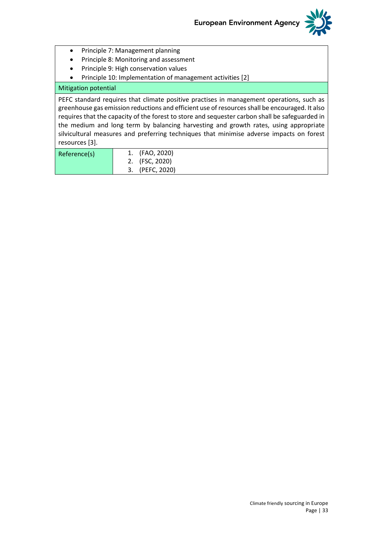

- Principle 7: Management planning
- Principle 8: Monitoring and assessment
- Principle 9: High conservation values
- Principle 10: Implementation of management activities [2]

## Mitigation potential

PEFC standard requires that climate positive practises in management operations, such as greenhouse gas emission reductions and efficient use of resources shall be encouraged. It also requires that the capacity of the forest to store and sequester carbon shall be safeguarded in the medium and long term by balancing harvesting and growth rates, using appropriate silvicultural measures and preferring techniques that minimise adverse impacts on forest resources [3].

| Reference(s) | 1. (FAO, 2020)     |
|--------------|--------------------|
|              | 2. (FSC, 2020)     |
|              | (PEFC, 2020)<br>3. |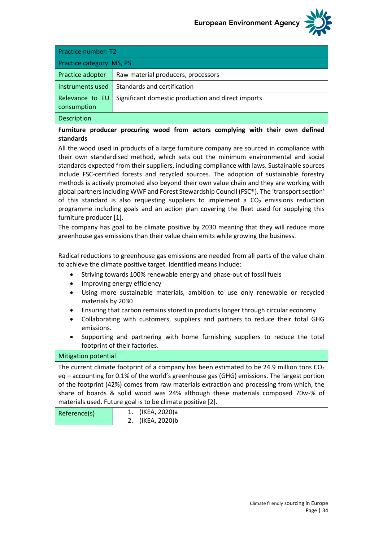

| Practice number: T2       |                                                    |
|---------------------------|----------------------------------------------------|
| Practice category: MS, PS |                                                    |
| Practice adopter          | Raw material producers, processors                 |
| Instruments used          | Standards and certification                        |
| Relevance to EU           | Significant domestic production and direct imports |
| consumption               |                                                    |
| Description               |                                                    |

## **Furniture producer procuring wood from actors complying with their own defined standards**

All the wood used in products of a large furniture company are sourced in compliance with their own standardised method, which sets out the minimum environmental and social standards expected from their suppliers, including compliance with laws. Sustainable sources include FSC-certified forests and recycled sources. The adoption of sustainable forestry methods is actively promoted also beyond their own value chain and they are working with global partners including WWF and Forest Stewardship Council (FSC®). The 'transport section' of this standard is also requesting suppliers to implement a  $CO<sub>2</sub>$  emissions reduction programme including goals and an action plan covering the fleet used for supplying this furniture producer [1].

The company has goal to be climate positive by 2030 meaning that they will reduce more greenhouse gas emissions than their value chain emits while growing the business.

Radical reductions to greenhouse gas emissions are needed from all parts of the value chain to achieve the climate positive target. Identified means include:

- Striving towards 100% renewable energy and phase-out of fossil fuels
- Improving energy efficiency
- Using more sustainable materials, ambition to use only renewable or recycled materials by 2030
- Ensuring that carbon remains stored in products longer through circular economy
- Collaborating with customers, suppliers and partners to reduce their total GHG emissions.
- Supporting and partnering with home furnishing suppliers to reduce the total footprint of their factories.

## Mitigation potential

The current climate footprint of a company has been estimated to be 24.9 million tons  $CO<sub>2</sub>$ eq – accounting for 0.1% of the world's greenhouse gas (GHG) emissions. The largest portion of the footprint (42%) comes from raw materials extraction and processing from which, the share of boards & solid wood was 24% although these materials composed 70w-% of materials used. Future goal is to be climate positive [2].

| Reference(s) | (IKEA, 2020)a       |  |
|--------------|---------------------|--|
|              | (IKEA, 2020)b<br>2. |  |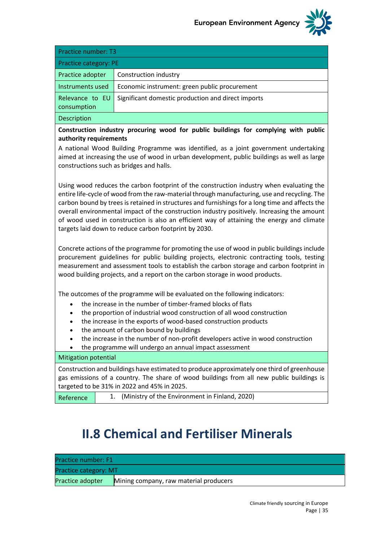

| Practice number: T3            |                                                    |
|--------------------------------|----------------------------------------------------|
| Practice category: PE          |                                                    |
| Practice adopter               | Construction industry                              |
| Instruments used               | Economic instrument: green public procurement      |
| Relevance to EU<br>consumption | Significant domestic production and direct imports |
| Description                    |                                                    |

**Construction industry procuring wood for public buildings for complying with public authority requirements**

A national Wood Building Programme was identified, as a joint government undertaking aimed at increasing the use of wood in urban development, public buildings as well as large constructions such as bridges and halls.

Using wood reduces the carbon footprint of the construction industry when evaluating the entire life-cycle of wood from the raw-material through manufacturing, use and recycling. The carbon bound by trees is retained in structures and furnishings for a long time and affects the overall environmental impact of the construction industry positively. Increasing the amount of wood used in construction is also an efficient way of attaining the energy and climate targets laid down to reduce carbon footprint by 2030.

Concrete actions of the programme for promoting the use of wood in public buildings include procurement guidelines for public building projects, electronic contracting tools, testing measurement and assessment tools to establish the carbon storage and carbon footprint in wood building projects, and a report on the carbon storage in wood products.

The outcomes of the programme will be evaluated on the following indicators:

- the increase in the number of timber-framed blocks of flats
- the proportion of industrial wood construction of all wood construction
- the increase in the exports of wood-based construction products
- the amount of carbon bound by buildings
- the increase in the number of non-profit developers active in wood construction
- the programme will undergo an annual impact assessment

## Mitigation potential

Construction and buildings have estimated to produce approximately one third of greenhouse gas emissions of a country. The share of wood buildings from all new public buildings is targeted to be 31% in 2022 and 45% in 2025.

Reference  $\begin{bmatrix} 1 \\ 1 \end{bmatrix}$  (Ministry of the Environment in Finland, 2020)

## <span id="page-35-0"></span>**II.8 Chemical and Fertiliser Minerals**

| <b>Practice number: F1</b>   |                                        |
|------------------------------|----------------------------------------|
| <b>Practice category: MT</b> |                                        |
| <b>Practice adopter</b>      | Mining company, raw material producers |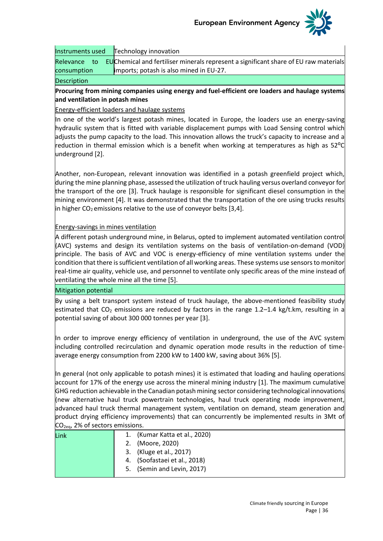

## Instruments used Fechnology innovation

Relevance to consumption EU Chemical and fertiliser minerals represent a significant share of EU raw materials imports; potash is also mined in EU-27.

## Description

**Procuring from mining companies using energy and fuel-efficient ore loaders and haulage systems and ventilation in potash mines**

Energy-efficient loaders and haulage systems

In one of the world's largest potash mines, located in Europe, the loaders use an energy-saving hydraulic system that is fitted with variable displacement pumps with Load Sensing control which adjusts the pump capacity to the load. This innovation allows the truck's capacity to increase and a reduction in thermal emission which is a benefit when working at temperatures as high as  $52^{\circ}$ C underground [2].

Another, non-European, relevant innovation was identified in a potash greenfield project which, during the mine planning phase, assessed the utilization of truck hauling versus overland conveyor for the transport of the ore [3]. Truck haulage is responsible for significant diesel consumption in the mining environment [4]. It was demonstrated that the transportation of the ore using trucks results in higher CO<sub>2</sub> emissions relative to the use of conveyor belts [3,4].

## Energy-savings in mines ventilation

A different potash underground mine, in Belarus, opted to implement automated ventilation control (AVC) systems and design its ventilation systems on the basis of ventilation-on-demand (VOD) principle. The basis of AVC and VOC is energy-efficiency of mine ventilation systems under the condition that there is sufficient ventilation of all working areas. These systems use sensors to monitor real-time air quality, vehicle use, and personnel to ventilate only specific areas of the mine instead of ventilating the whole mine all the time [5].

## Mitigation potential

By using a belt transport system instead of truck haulage, the above-mentioned feasibility study estimated that CO<sub>2</sub> emissions are reduced by factors in the range 1.2–1.4 kg/t.km, resulting in a potential saving of about 300 000 tonnes per year [3].

In order to improve energy efficiency of ventilation in underground, the use of the AVC system including controlled recirculation and dynamic operation mode results in the reduction of timeaverage energy consumption from 2200 kW to 1400 kW, saving about 36% [5].

In general (not only applicable to potash mines) it is estimated that loading and hauling operations account for 17% of the energy use across the mineral mining industry [1]. The maximum cumulative GHG reduction achievable in the Canadian potash mining sector considering technological innovations (new alternative haul truck powertrain technologies, haul truck operating mode improvement, advanced haul truck thermal management system, ventilation on demand, steam generation and product drying efficiency improvements) that can concurrently be implemented results in 3Mt of CO2eq, 2% of sectors emissions.

| Link | 1. (Kumar Katta et al., 2020)<br>2. (Moore, 2020)<br>3. (Kluge et al., 2017)<br>4. (Soofastaei et al., 2018) |
|------|--------------------------------------------------------------------------------------------------------------|
|      | 5. (Semin and Levin, 2017)                                                                                   |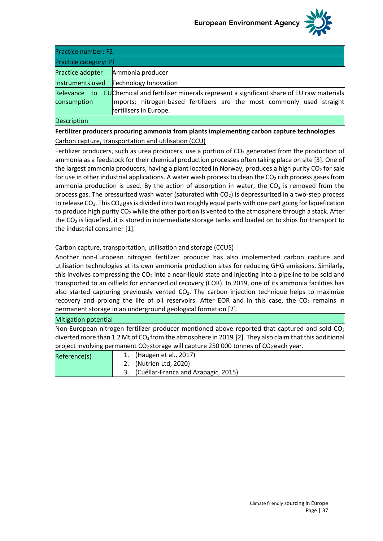

| Practice number: F2                                                                                                                                                                                                                                                                                                                                                                                                                                                                                                                                                                                                                                                                                                    |                                                                                                                                                                                                                                                                                                                                                                                                                                                                                                                                                                                                                                                                                                                                                                                                                                                                                                                          |
|------------------------------------------------------------------------------------------------------------------------------------------------------------------------------------------------------------------------------------------------------------------------------------------------------------------------------------------------------------------------------------------------------------------------------------------------------------------------------------------------------------------------------------------------------------------------------------------------------------------------------------------------------------------------------------------------------------------------|--------------------------------------------------------------------------------------------------------------------------------------------------------------------------------------------------------------------------------------------------------------------------------------------------------------------------------------------------------------------------------------------------------------------------------------------------------------------------------------------------------------------------------------------------------------------------------------------------------------------------------------------------------------------------------------------------------------------------------------------------------------------------------------------------------------------------------------------------------------------------------------------------------------------------|
| Practice category: PT                                                                                                                                                                                                                                                                                                                                                                                                                                                                                                                                                                                                                                                                                                  |                                                                                                                                                                                                                                                                                                                                                                                                                                                                                                                                                                                                                                                                                                                                                                                                                                                                                                                          |
| Practice adopter                                                                                                                                                                                                                                                                                                                                                                                                                                                                                                                                                                                                                                                                                                       | Ammonia producer                                                                                                                                                                                                                                                                                                                                                                                                                                                                                                                                                                                                                                                                                                                                                                                                                                                                                                         |
| Instruments used                                                                                                                                                                                                                                                                                                                                                                                                                                                                                                                                                                                                                                                                                                       | <b>Technology Innovation</b>                                                                                                                                                                                                                                                                                                                                                                                                                                                                                                                                                                                                                                                                                                                                                                                                                                                                                             |
| Relevance to<br>consumption                                                                                                                                                                                                                                                                                                                                                                                                                                                                                                                                                                                                                                                                                            | <b>EU</b> Chemical and fertiliser minerals represent a significant share of EU raw materials<br>imports; nitrogen-based fertilizers are the most commonly used straight<br>fertilisers in Europe.                                                                                                                                                                                                                                                                                                                                                                                                                                                                                                                                                                                                                                                                                                                        |
| Description                                                                                                                                                                                                                                                                                                                                                                                                                                                                                                                                                                                                                                                                                                            |                                                                                                                                                                                                                                                                                                                                                                                                                                                                                                                                                                                                                                                                                                                                                                                                                                                                                                                          |
|                                                                                                                                                                                                                                                                                                                                                                                                                                                                                                                                                                                                                                                                                                                        | Fertilizer producers procuring ammonia from plants implementing carbon capture technologies                                                                                                                                                                                                                                                                                                                                                                                                                                                                                                                                                                                                                                                                                                                                                                                                                              |
|                                                                                                                                                                                                                                                                                                                                                                                                                                                                                                                                                                                                                                                                                                                        | Carbon capture, transportation and utilisation (CCU)                                                                                                                                                                                                                                                                                                                                                                                                                                                                                                                                                                                                                                                                                                                                                                                                                                                                     |
| the industrial consumer [1].                                                                                                                                                                                                                                                                                                                                                                                                                                                                                                                                                                                                                                                                                           | ammonia as a feedstock for their chemical production processes often taking place on site [3]. One of<br>the largest ammonia producers, having a plant located in Norway, produces a high purity CO <sub>2</sub> for sale<br>for use in other industrial applications. A water wash process to clean the CO <sub>2</sub> rich process gases from<br>ammonia production is used. By the action of absorption in water, the $CO2$ is removed from the<br>process gas. The pressurized wash water (saturated with $CO2$ ) is depressurized in a two-step process<br>to release CO2. This CO2 gas is divided into two roughly equal parts with one part going for liquefication<br>to produce high purity CO <sub>2</sub> while the other portion is vented to the atmosphere through a stack. After<br>the CO <sub>2</sub> is liquefied, it is stored in intermediate storage tanks and loaded on to ships for transport to |
|                                                                                                                                                                                                                                                                                                                                                                                                                                                                                                                                                                                                                                                                                                                        | Carbon capture, transportation, utilisation and storage (CCUS)                                                                                                                                                                                                                                                                                                                                                                                                                                                                                                                                                                                                                                                                                                                                                                                                                                                           |
| Another non-European nitrogen fertilizer producer has also implemented carbon capture and<br>utilisation technologies at its own ammonia production sites for reducing GHG emissions. Similarly,<br>this involves compressing the CO <sub>2</sub> into a near-liquid state and injecting into a pipeline to be sold and<br>transported to an oilfield for enhanced oil recovery (EOR). In 2019, one of its ammonia facilities has<br>also started capturing previously vented $CO2$ . The carbon injection technique helps to maximize<br>recovery and prolong the life of oil reservoirs. After EOR and in this case, the CO <sub>2</sub> remains in<br>permanent storage in an underground geological formation [2]. |                                                                                                                                                                                                                                                                                                                                                                                                                                                                                                                                                                                                                                                                                                                                                                                                                                                                                                                          |
| Mitigation potential                                                                                                                                                                                                                                                                                                                                                                                                                                                                                                                                                                                                                                                                                                   |                                                                                                                                                                                                                                                                                                                                                                                                                                                                                                                                                                                                                                                                                                                                                                                                                                                                                                                          |
|                                                                                                                                                                                                                                                                                                                                                                                                                                                                                                                                                                                                                                                                                                                        | Non-European nitrogen fertilizer producer mentioned above reported that captured and sold CO <sub>2</sub><br>diverted more than 1.2 Mt of CO <sub>2</sub> from the atmosphere in 2019 [2]. They also claim that this additional<br>project involving permanent CO <sub>2</sub> storage will capture 250 000 tonnes of CO <sub>2</sub> each year.                                                                                                                                                                                                                                                                                                                                                                                                                                                                                                                                                                         |
| Reference(s)                                                                                                                                                                                                                                                                                                                                                                                                                                                                                                                                                                                                                                                                                                           | (Haugen et al., 2017)<br>1.<br>2.<br>(Nutrien Ltd, 2020)<br>3.<br>(Cuéllar-Franca and Azapagic, 2015)                                                                                                                                                                                                                                                                                                                                                                                                                                                                                                                                                                                                                                                                                                                                                                                                                    |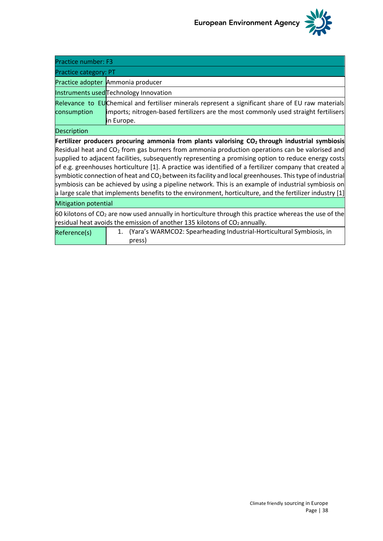

| <b>Practice number: F3</b>                                                                                                                                                                                                                                                                                                                                                                                                                                                                                                                                                                                                                                                                                                                                             |                                                                                                                                                                                                        |  |
|------------------------------------------------------------------------------------------------------------------------------------------------------------------------------------------------------------------------------------------------------------------------------------------------------------------------------------------------------------------------------------------------------------------------------------------------------------------------------------------------------------------------------------------------------------------------------------------------------------------------------------------------------------------------------------------------------------------------------------------------------------------------|--------------------------------------------------------------------------------------------------------------------------------------------------------------------------------------------------------|--|
| Practice category: PT                                                                                                                                                                                                                                                                                                                                                                                                                                                                                                                                                                                                                                                                                                                                                  |                                                                                                                                                                                                        |  |
|                                                                                                                                                                                                                                                                                                                                                                                                                                                                                                                                                                                                                                                                                                                                                                        | Practice adopter Ammonia producer                                                                                                                                                                      |  |
|                                                                                                                                                                                                                                                                                                                                                                                                                                                                                                                                                                                                                                                                                                                                                                        | Instruments used Technology Innovation                                                                                                                                                                 |  |
| consumption                                                                                                                                                                                                                                                                                                                                                                                                                                                                                                                                                                                                                                                                                                                                                            | Relevance to EUChemical and fertiliser minerals represent a significant share of EU raw materials<br>imports; nitrogen-based fertilizers are the most commonly used straight fertilisers<br>in Europe. |  |
| <b>Description</b>                                                                                                                                                                                                                                                                                                                                                                                                                                                                                                                                                                                                                                                                                                                                                     |                                                                                                                                                                                                        |  |
| Fertilizer producers procuring ammonia from plants valorising $CO2$ through industrial symbiosis<br>Residual heat and $CO2$ from gas burners from ammonia production operations can be valorised and<br>supplied to adjacent facilities, subsequently representing a promising option to reduce energy costs<br>of e.g. greenhouses horticulture [1]. A practice was identified of a fertilizer company that created a<br>symbiotic connection of heat and CO <sub>2</sub> between its facility and local greenhouses. This type of industrial<br>symbiosis can be achieved by using a pipeline network. This is an example of industrial symbiosis on<br>$ a $ large scale that implements benefits to the environment, horticulture, and the fertilizer industry [1] |                                                                                                                                                                                                        |  |
| Mitigation potential                                                                                                                                                                                                                                                                                                                                                                                                                                                                                                                                                                                                                                                                                                                                                   |                                                                                                                                                                                                        |  |
| 60 kilotons of CO <sub>2</sub> are now used annually in horticulture through this practice whereas the use of the<br>residual heat avoids the emission of another 135 kilotons of $CO2$ annually.                                                                                                                                                                                                                                                                                                                                                                                                                                                                                                                                                                      |                                                                                                                                                                                                        |  |
| Reference(s)                                                                                                                                                                                                                                                                                                                                                                                                                                                                                                                                                                                                                                                                                                                                                           | (Yara's WARMCO2: Spearheading Industrial-Horticultural Symbiosis, in<br>1.<br>press)                                                                                                                   |  |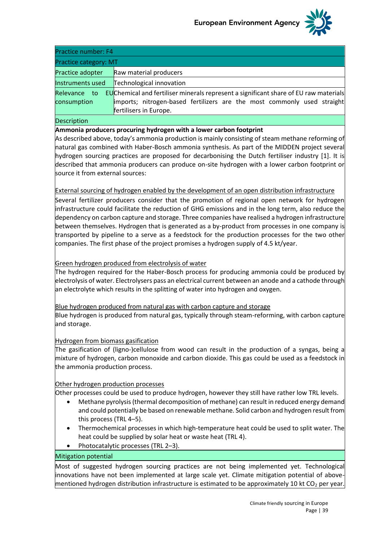

| Practice number: F4                                                          |                                                                                                                                                                                                                                                                                                                                                                                                                                                                                                                                                                                                                                                                                                               |
|------------------------------------------------------------------------------|---------------------------------------------------------------------------------------------------------------------------------------------------------------------------------------------------------------------------------------------------------------------------------------------------------------------------------------------------------------------------------------------------------------------------------------------------------------------------------------------------------------------------------------------------------------------------------------------------------------------------------------------------------------------------------------------------------------|
| Practice category: MT                                                        |                                                                                                                                                                                                                                                                                                                                                                                                                                                                                                                                                                                                                                                                                                               |
| Practice adopter                                                             | Raw material producers                                                                                                                                                                                                                                                                                                                                                                                                                                                                                                                                                                                                                                                                                        |
| Instruments used                                                             | Technological innovation                                                                                                                                                                                                                                                                                                                                                                                                                                                                                                                                                                                                                                                                                      |
| Relevance<br>to<br>consumption                                               | EU Chemical and fertiliser minerals represent a significant share of EU raw materials<br>imports; nitrogen-based fertilizers are the most commonly used straight<br>fertilisers in Europe.                                                                                                                                                                                                                                                                                                                                                                                                                                                                                                                    |
| Description                                                                  |                                                                                                                                                                                                                                                                                                                                                                                                                                                                                                                                                                                                                                                                                                               |
| source it from external sources:                                             | Ammonia producers procuring hydrogen with a lower carbon footprint<br>As described above, today's ammonia production is mainly consisting of steam methane reforming of<br>natural gas combined with Haber-Bosch ammonia synthesis. As part of the MIDDEN project several<br>hydrogen sourcing practices are proposed for decarbonising the Dutch fertiliser industry [1]. It is<br>described that ammonia producers can produce on-site hydrogen with a lower carbon footprint or                                                                                                                                                                                                                            |
|                                                                              | External sourcing of hydrogen enabled by the development of an open distribution infrastructure<br>Several fertilizer producers consider that the promotion of regional open network for hydrogen<br>infrastructure could facilitate the reduction of GHG emissions and in the long term, also reduce the<br>dependency on carbon capture and storage. Three companies have realised a hydrogen infrastructure<br>between themselves. Hydrogen that is generated as a by-product from processes in one company is<br>transported by pipeline to a serve as a feedstock for the production processes for the two other<br>companies. The first phase of the project promises a hydrogen supply of 4.5 kt/year. |
|                                                                              | Green hydrogen produced from electrolysis of water<br>The hydrogen required for the Haber-Bosch process for producing ammonia could be produced by<br>electrolysis of water. Electrolysers pass an electrical current between an anode and a cathode through<br>an electrolyte which results in the splitting of water into hydrogen and oxygen.                                                                                                                                                                                                                                                                                                                                                              |
| and storage.                                                                 | Blue hydrogen produced from natural gas with carbon capture and storage<br>Blue hydrogen is produced from natural gas, typically through steam-reforming, with carbon capture                                                                                                                                                                                                                                                                                                                                                                                                                                                                                                                                 |
| <b>Hydrogen from biomass gasification</b><br>the ammonia production process. | The gasification of (ligno-)cellulose from wood can result in the production of a syngas, being a<br>mixture of hydrogen, carbon monoxide and carbon dioxide. This gas could be used as a feedstock in                                                                                                                                                                                                                                                                                                                                                                                                                                                                                                        |
| Other hydrogen production processes<br>this process (TRL 4-5).               | Other processes could be used to produce hydrogen, however they still have rather low TRL levels.<br>Methane pyrolysis (thermal decomposition of methane) can result in reduced energy demand<br>and could potentially be based on renewable methane. Solid carbon and hydrogen result from<br>Thermochemical processes in which high-temperature heat could be used to split water. The<br>heat could be supplied by solar heat or waste heat (TRL 4).<br>Photocatalytic processes (TRL 2-3).                                                                                                                                                                                                                |
| <b>Mitigation potential</b>                                                  |                                                                                                                                                                                                                                                                                                                                                                                                                                                                                                                                                                                                                                                                                                               |
|                                                                              | Most of suggested hydrogen sourcing practices are not being implemented yet. Technological<br>innovations have not been implemented at large scale yet. Climate mitigation potential of above-                                                                                                                                                                                                                                                                                                                                                                                                                                                                                                                |

mentioned hydrogen distribution infrastructure is estimated to be approximately 10 kt  $CO<sub>2</sub>$  per year.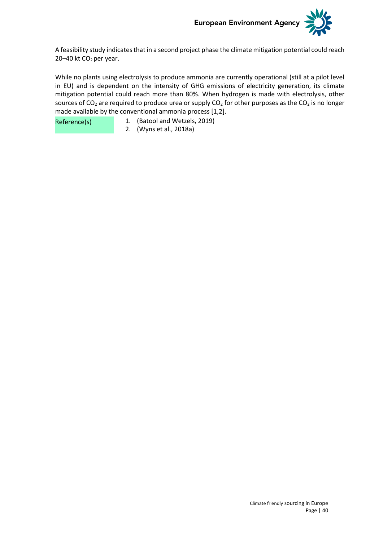

A feasibility study indicates that in a second project phase the climate mitigation potential could reach  $20-40$  kt CO<sub>2</sub> per year.

While no plants using electrolysis to produce ammonia are currently operational (still at a pilot level in EU) and is dependent on the intensity of GHG emissions of electricity generation, its climate mitigation potential could reach more than 80%. When hydrogen is made with electrolysis, other sources of CO<sub>2</sub> are required to produce urea or supply CO<sub>2</sub> for other purposes as the CO<sub>2</sub> is no longer made available by the conventional ammonia process [1,2].

| Reference(s) | (Batool and Wetzels, 2019) |
|--------------|----------------------------|
|              | (Wyns et al., 2018a)       |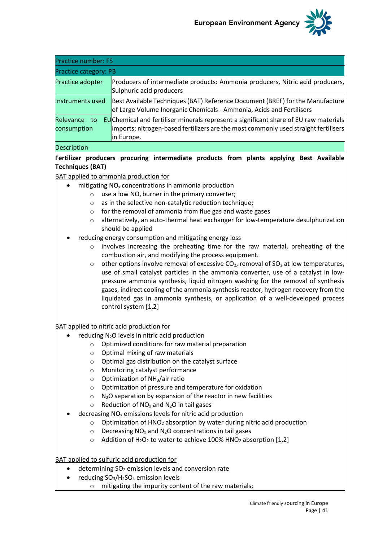

| <b>Practice number: F5</b>                                                                                       |                                                                                                                                                       |  |  |  |  |
|------------------------------------------------------------------------------------------------------------------|-------------------------------------------------------------------------------------------------------------------------------------------------------|--|--|--|--|
| Practice category: PB                                                                                            |                                                                                                                                                       |  |  |  |  |
| Practice adopter                                                                                                 | Producers of intermediate products: Ammonia producers, Nitric acid producers,<br>Sulphuric acid producers                                             |  |  |  |  |
| Instruments used                                                                                                 | Best Available Techniques (BAT) Reference Document (BREF) for the Manufacture<br>of Large Volume Inorganic Chemicals - Ammonia, Acids and Fertilisers |  |  |  |  |
| Relevance to                                                                                                     | <b>EU</b> Chemical and fertiliser minerals represent a significant share of EU raw materials                                                          |  |  |  |  |
| imports; nitrogen-based fertilizers are the most commonly used straight fertilisers<br>consumption<br>in Europe. |                                                                                                                                                       |  |  |  |  |
| Description                                                                                                      |                                                                                                                                                       |  |  |  |  |
|                                                                                                                  | Fertilizer producers procuring intermediate products from plants applying Best Available                                                              |  |  |  |  |
| <b>Techniques (BAT)</b>                                                                                          |                                                                                                                                                       |  |  |  |  |
|                                                                                                                  | BAT applied to ammonia production for                                                                                                                 |  |  |  |  |
|                                                                                                                  | mitigating NO <sub>x</sub> concentrations in ammonia production                                                                                       |  |  |  |  |
| $\circ$                                                                                                          | use a low NO <sub>x</sub> burner in the primary converter;                                                                                            |  |  |  |  |
| $\circ$                                                                                                          | as in the selective non-catalytic reduction technique;                                                                                                |  |  |  |  |
| $\circ$                                                                                                          | for the removal of ammonia from flue gas and waste gases                                                                                              |  |  |  |  |
| O                                                                                                                | alternatively, an auto-thermal heat exchanger for low-temperature desulphurization                                                                    |  |  |  |  |
|                                                                                                                  | should be applied                                                                                                                                     |  |  |  |  |
|                                                                                                                  | reducing energy consumption and mitigating energy loss                                                                                                |  |  |  |  |
| $\circ$                                                                                                          | involves increasing the preheating time for the raw material, preheating of the                                                                       |  |  |  |  |
|                                                                                                                  | combustion air, and modifying the process equipment.                                                                                                  |  |  |  |  |
| $\circ$                                                                                                          | other options involve removal of excessive CO <sub>2</sub> , removal of SO <sub>2</sub> at low temperatures,                                          |  |  |  |  |
|                                                                                                                  | use of small catalyst particles in the ammonia converter, use of a catalyst in low-                                                                   |  |  |  |  |
|                                                                                                                  | pressure ammonia synthesis, liquid nitrogen washing for the removal of synthesis                                                                      |  |  |  |  |
|                                                                                                                  | gases, indirect cooling of the ammonia synthesis reactor, hydrogen recovery from the                                                                  |  |  |  |  |
|                                                                                                                  | liquidated gas in ammonia synthesis, or application of a well-developed process                                                                       |  |  |  |  |
|                                                                                                                  | control system [1,2]                                                                                                                                  |  |  |  |  |
|                                                                                                                  |                                                                                                                                                       |  |  |  |  |
|                                                                                                                  | BAT applied to nitric acid production for                                                                                                             |  |  |  |  |
|                                                                                                                  | reducing N <sub>2</sub> O levels in nitric acid production                                                                                            |  |  |  |  |
|                                                                                                                  | $\circ$ Optimized conditions for raw material preparation                                                                                             |  |  |  |  |
| O                                                                                                                | Optimal mixing of raw materials                                                                                                                       |  |  |  |  |
| $\circ$                                                                                                          | Optimal gas distribution on the catalyst surface                                                                                                      |  |  |  |  |
| $\circ$                                                                                                          | Monitoring catalyst performance                                                                                                                       |  |  |  |  |
| $\circ$                                                                                                          | Optimization of NH <sub>3</sub> /air ratio                                                                                                            |  |  |  |  |
| $\circ$                                                                                                          | Optimization of pressure and temperature for oxidation                                                                                                |  |  |  |  |
| $\circ$                                                                                                          | N <sub>2</sub> O separation by expansion of the reactor in new facilities<br>Reduction of $NOx$ and $N2O$ in tail gases                               |  |  |  |  |
| $\circ$                                                                                                          | decreasing NO <sub>x</sub> emissions levels for nitric acid production                                                                                |  |  |  |  |
| $\circ$                                                                                                          | Optimization of HNO <sub>2</sub> absorption by water during nitric acid production                                                                    |  |  |  |  |
| $\circ$                                                                                                          | Decreasing $NOx$ and $N2O$ concentrations in tail gases                                                                                               |  |  |  |  |
| $\circ$                                                                                                          | Addition of $H_2O_2$ to water to achieve 100% HNO <sub>2</sub> absorption [1,2]                                                                       |  |  |  |  |
|                                                                                                                  |                                                                                                                                                       |  |  |  |  |
|                                                                                                                  | <b>BAT applied to sulfuric acid production for</b>                                                                                                    |  |  |  |  |
| $\bullet$                                                                                                        | determining SO <sub>2</sub> emission levels and conversion rate                                                                                       |  |  |  |  |
|                                                                                                                  | reducing SO <sub>3</sub> /H <sub>2</sub> SO <sub>4</sub> emission levels                                                                              |  |  |  |  |
| $\circ$                                                                                                          | mitigating the impurity content of the raw materials;                                                                                                 |  |  |  |  |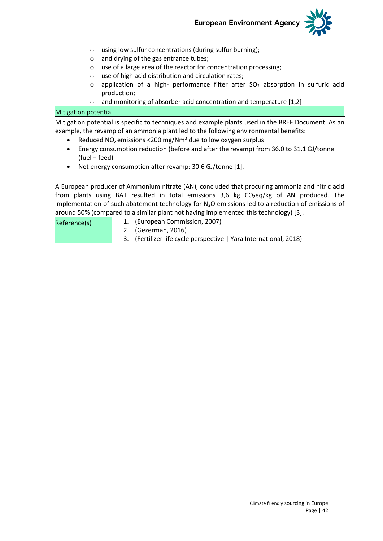**European Environment Agency** 



- o using low sulfur concentrations (during sulfur burning);
- o and drying of the gas entrance tubes;
- o use of a large area of the reactor for concentration processing;
- o use of high acid distribution and circulation rates;
- $\circ$  application of a high- performance filter after SO<sub>2</sub> absorption in sulfuric acid production;
- o and monitoring of absorber acid concentration and temperature [1,2]

### Mitigation potential

Mitigation potential is specific to techniques and example plants used in the BREF Document. As an example, the revamp of an ammonia plant led to the following environmental benefits:

- Reduced NO<sub>x</sub> emissions <200 mg/Nm<sup>3</sup> due to low oxygen surplus
- Energy consumption reduction (before and after the revamp) from 36.0 to 31.1 GJ/tonne (fuel + feed)
- Net energy consumption after revamp: 30.6 GJ/tonne [1].

A European producer of Ammonium nitrate (AN), concluded that procuring ammonia and nitric acid from plants using BAT resulted in total emissions 3,6 kg  $CO_2$ eq/kg of AN produced. The implementation of such abatement technology for  $N_2O$  emissions led to a reduction of emissions of around 50% (compared to a similar plant not having implemented this technology) [3].

| Reference(s) | 1. (European Commission, 2007)                                    |  |
|--------------|-------------------------------------------------------------------|--|
|              | 2. (Gezerman, 2016)                                               |  |
|              | 3. (Fertilizer life cycle perspective   Yara International, 2018) |  |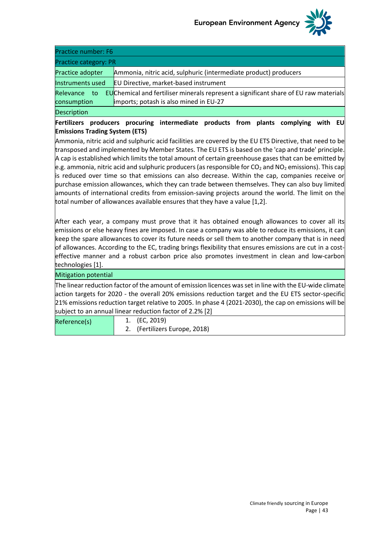European Environment Agency



| <b>Practice number: F6</b>                                                                                                     |                                                                                              |                                                                                                                                                                                                                                                                                                                                    |  |  |  |
|--------------------------------------------------------------------------------------------------------------------------------|----------------------------------------------------------------------------------------------|------------------------------------------------------------------------------------------------------------------------------------------------------------------------------------------------------------------------------------------------------------------------------------------------------------------------------------|--|--|--|
| Practice category: PR                                                                                                          |                                                                                              |                                                                                                                                                                                                                                                                                                                                    |  |  |  |
| Practice adopter                                                                                                               | Ammonia, nitric acid, sulphuric (intermediate product) producers                             |                                                                                                                                                                                                                                                                                                                                    |  |  |  |
| Instruments used                                                                                                               | EU Directive, market-based instrument                                                        |                                                                                                                                                                                                                                                                                                                                    |  |  |  |
| Relevance<br>to                                                                                                                | <b>EU</b> Chemical and fertiliser minerals represent a significant share of EU raw materials |                                                                                                                                                                                                                                                                                                                                    |  |  |  |
| consumption                                                                                                                    | imports; potash is also mined in EU-27                                                       |                                                                                                                                                                                                                                                                                                                                    |  |  |  |
| <b>Description</b>                                                                                                             |                                                                                              |                                                                                                                                                                                                                                                                                                                                    |  |  |  |
| Fertilizers producers procuring intermediate products from plants complying with EU                                            |                                                                                              |                                                                                                                                                                                                                                                                                                                                    |  |  |  |
| <b>Emissions Trading System (ETS)</b>                                                                                          |                                                                                              |                                                                                                                                                                                                                                                                                                                                    |  |  |  |
| Ammonia, nitric acid and sulphuric acid facilities are covered by the EU ETS Directive, that need to be                        |                                                                                              |                                                                                                                                                                                                                                                                                                                                    |  |  |  |
| transposed and implemented by Member States. The EU ETS is based on the 'cap and trade' principle.                             |                                                                                              |                                                                                                                                                                                                                                                                                                                                    |  |  |  |
| A cap is established which limits the total amount of certain greenhouse gases that can be emitted by                          |                                                                                              |                                                                                                                                                                                                                                                                                                                                    |  |  |  |
| e.g. ammonia, nitric acid and sulphuric producers (as responsible for CO <sub>2</sub> and NO <sub>2</sub> emissions). This cap |                                                                                              |                                                                                                                                                                                                                                                                                                                                    |  |  |  |
| is reduced over time so that emissions can also decrease. Within the cap, companies receive or                                 |                                                                                              |                                                                                                                                                                                                                                                                                                                                    |  |  |  |
| purchase emission allowances, which they can trade between themselves. They can also buy limited                               |                                                                                              |                                                                                                                                                                                                                                                                                                                                    |  |  |  |
| amounts of international credits from emission-saving projects around the world. The limit on the                              |                                                                                              |                                                                                                                                                                                                                                                                                                                                    |  |  |  |
| total number of allowances available ensures that they have a value [1,2].                                                     |                                                                                              |                                                                                                                                                                                                                                                                                                                                    |  |  |  |
|                                                                                                                                |                                                                                              |                                                                                                                                                                                                                                                                                                                                    |  |  |  |
| After each year, a company must prove that it has obtained enough allowances to cover all its                                  |                                                                                              |                                                                                                                                                                                                                                                                                                                                    |  |  |  |
| emissions or else heavy fines are imposed. In case a company was able to reduce its emissions, it can                          |                                                                                              |                                                                                                                                                                                                                                                                                                                                    |  |  |  |
|                                                                                                                                |                                                                                              |                                                                                                                                                                                                                                                                                                                                    |  |  |  |
| keep the spare allowances to cover its future needs or sell them to another company that is in need                            |                                                                                              |                                                                                                                                                                                                                                                                                                                                    |  |  |  |
| of allowances. According to the EC, trading brings flexibility that ensures emissions are cut in a cost-                       |                                                                                              |                                                                                                                                                                                                                                                                                                                                    |  |  |  |
| effective manner and a robust carbon price also promotes investment in clean and low-carbon                                    |                                                                                              |                                                                                                                                                                                                                                                                                                                                    |  |  |  |
| technologies [1].                                                                                                              |                                                                                              |                                                                                                                                                                                                                                                                                                                                    |  |  |  |
| Mitigation potential                                                                                                           |                                                                                              |                                                                                                                                                                                                                                                                                                                                    |  |  |  |
| The linear reduction factor of the amount of emission licences was set in line with the EU-wide climate                        |                                                                                              |                                                                                                                                                                                                                                                                                                                                    |  |  |  |
| action targets for 2020 - the overall 20% emissions reduction target and the EU ETS sector-specific                            |                                                                                              |                                                                                                                                                                                                                                                                                                                                    |  |  |  |
|                                                                                                                                |                                                                                              |                                                                                                                                                                                                                                                                                                                                    |  |  |  |
|                                                                                                                                |                                                                                              | $\mathbf{1}$ $\mathbf{1}$ $\mathbf{1}$ $\mathbf{1}$ $\mathbf{1}$ $\mathbf{1}$ $\mathbf{1}$ $\mathbf{1}$ $\mathbf{1}$ $\mathbf{1}$ $\mathbf{1}$ $\mathbf{1}$ $\mathbf{1}$ $\mathbf{1}$ $\mathbf{1}$ $\mathbf{1}$ $\mathbf{1}$ $\mathbf{1}$ $\mathbf{1}$ $\mathbf{1}$ $\mathbf{1}$ $\mathbf{1}$ $\mathbf{1}$ $\mathbf{1}$ $\mathbf{$ |  |  |  |

21% emissions reduction target relative to 2005. In phase 4 (2021-2030), the cap on emissions will be subject to an annual linear reduction factor of 2.2% [2]

| Reference(s) | (EC, 2019)                    |
|--------------|-------------------------------|
|              | 2. (Fertilizers Europe, 2018) |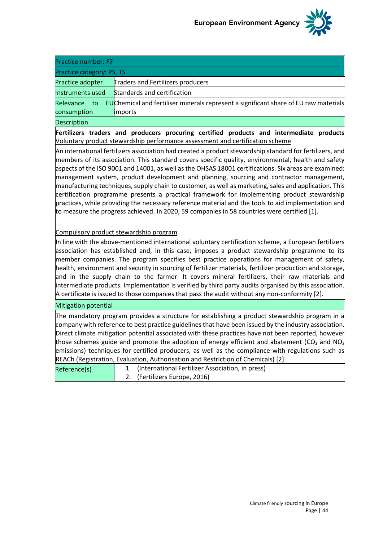

| Practice number: F7       |                                                                                              |  |  |  |
|---------------------------|----------------------------------------------------------------------------------------------|--|--|--|
| Practice category: PS, TS |                                                                                              |  |  |  |
| Practice adopter          | Traders and Fertilizers producers                                                            |  |  |  |
| Instruments used          | Standards and certification                                                                  |  |  |  |
| <b>Relevance</b><br>to    | <b>EU</b> Chemical and fertiliser minerals represent a significant share of EU raw materials |  |  |  |
| consumption               | <b>limports</b>                                                                              |  |  |  |
| <b>Description</b>        |                                                                                              |  |  |  |

**Fertilizers traders and producers procuring certified products and intermediate products** Voluntary product stewardship performance assessment and certification scheme

An international fertilizers association had created a product stewardship standard for fertilizers, and members of its association. This standard covers specific quality, environmental, health and safety aspects of the ISO 9001 and 14001, as well as the OHSAS 18001 certifications. Six areas are examined: management system, product development and planning, sourcing and contractor management, manufacturing techniques, supply chain to customer, as well as marketing, sales and application. This certification programme presents a practical framework for implementing product stewardship practices, while providing the necessary reference material and the tools to aid implementation and to measure the progress achieved. In 2020, 59 companies in 58 countries were certified [1].

## Compulsory product stewardship program

In line with the above-mentioned international voluntary certification scheme, a European fertilizers association has established and, in this case, imposes a product stewardship programme to its member companies. The program specifies best practice operations for management of safety, health, environment and security in sourcing of fertilizer materials, fertilizer production and storage, and in the supply chain to the farmer. It covers mineral fertilizers, their raw materials and intermediate products. Implementation is verified by third party audits organised by this association. A certificate is issued to those companies that pass the audit without any non-conformity [2].

## Mitigation potential

The mandatory program provides a structure for establishing a product stewardship program in a company with reference to best practice guidelines that have been issued by the industry association. Direct climate mitigation potential associated with these practices have not been reported, however those schemes guide and promote the adoption of energy efficient and abatement (CO<sub>2</sub> and NO<sub>2</sub> emissions) techniques for certified producers, as well as the compliance with regulations such as REACh (Registration, Evaluation, Authorisation and Restriction of Chemicals) [2].

| Reference(s) | (International Fertilizer Association, in press) |
|--------------|--------------------------------------------------|
|              | (Fertilizers Europe, 2016)                       |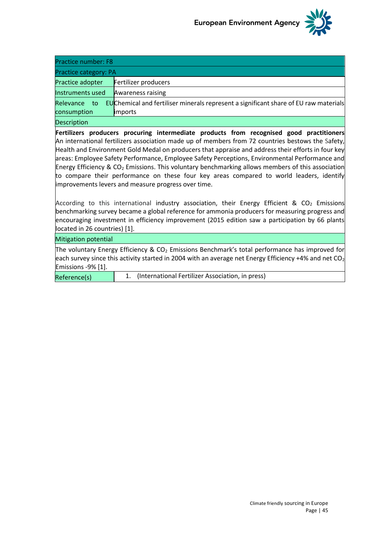European Environment Agency



| <b>Practice number: F8</b>     |                                                                                                                                                                                                                                                                                                                                                                                                                                                                                                                                                                                                                                                                                                                                                                                                                                                                                                                                                                        |  |  |
|--------------------------------|------------------------------------------------------------------------------------------------------------------------------------------------------------------------------------------------------------------------------------------------------------------------------------------------------------------------------------------------------------------------------------------------------------------------------------------------------------------------------------------------------------------------------------------------------------------------------------------------------------------------------------------------------------------------------------------------------------------------------------------------------------------------------------------------------------------------------------------------------------------------------------------------------------------------------------------------------------------------|--|--|
| Practice category: PA          |                                                                                                                                                                                                                                                                                                                                                                                                                                                                                                                                                                                                                                                                                                                                                                                                                                                                                                                                                                        |  |  |
| Practice adopter               | Fertilizer producers                                                                                                                                                                                                                                                                                                                                                                                                                                                                                                                                                                                                                                                                                                                                                                                                                                                                                                                                                   |  |  |
| Instruments used               | <b>Awareness raising</b>                                                                                                                                                                                                                                                                                                                                                                                                                                                                                                                                                                                                                                                                                                                                                                                                                                                                                                                                               |  |  |
| Relevance<br>to<br>consumption | <b>EU</b> Chemical and fertiliser minerals represent a significant share of EU raw materials<br>imports                                                                                                                                                                                                                                                                                                                                                                                                                                                                                                                                                                                                                                                                                                                                                                                                                                                                |  |  |
| Description                    |                                                                                                                                                                                                                                                                                                                                                                                                                                                                                                                                                                                                                                                                                                                                                                                                                                                                                                                                                                        |  |  |
| located in 26 countries) [1].  | Fertilizers producers procuring intermediate products from recognised good practitioners<br>An international fertilizers association made up of members from 72 countries bestows the Safety,<br>Health and Environment Gold Medal on producers that appraise and address their efforts in four key<br>areas: Employee Safety Performance, Employee Safety Perceptions, Environmental Performance and<br>Energy Efficiency & $CO2$ Emissions. This voluntary benchmarking allows members of this association<br>to compare their performance on these four key areas compared to world leaders, identify<br>improvements levers and measure progress over time.<br>According to this international industry association, their Energy Efficient & $CO2$ Emissions<br>benchmarking survey became a global reference for ammonia producers for measuring progress and<br>encouraging investment in efficiency improvement (2015 edition saw a participation by 66 plants |  |  |
| Mitigation potential           |                                                                                                                                                                                                                                                                                                                                                                                                                                                                                                                                                                                                                                                                                                                                                                                                                                                                                                                                                                        |  |  |
| Emissions -9% [1].             | The voluntary Energy Efficiency & CO <sub>2</sub> Emissions Benchmark's total performance has improved for<br>each survey since this activity started in 2004 with an average net Energy Efficiency +4% and net CO <sub>2</sub>                                                                                                                                                                                                                                                                                                                                                                                                                                                                                                                                                                                                                                                                                                                                        |  |  |
| Reference(s)                   | (International Fertilizer Association, in press)<br>1.                                                                                                                                                                                                                                                                                                                                                                                                                                                                                                                                                                                                                                                                                                                                                                                                                                                                                                                 |  |  |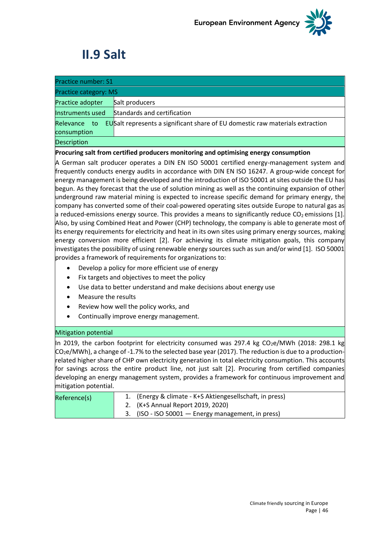

## <span id="page-46-0"></span>**II.9 Salt**

| Practice number: S1            |                                                                                                                                                                                                                                                                                                                                                                                                                                                                                                                                                                                                                                                                                                                                                                                                                                                                                                                                                                                                                                                                                                                                                                                                                                                                          |
|--------------------------------|--------------------------------------------------------------------------------------------------------------------------------------------------------------------------------------------------------------------------------------------------------------------------------------------------------------------------------------------------------------------------------------------------------------------------------------------------------------------------------------------------------------------------------------------------------------------------------------------------------------------------------------------------------------------------------------------------------------------------------------------------------------------------------------------------------------------------------------------------------------------------------------------------------------------------------------------------------------------------------------------------------------------------------------------------------------------------------------------------------------------------------------------------------------------------------------------------------------------------------------------------------------------------|
| <b>Practice category: MS</b>   |                                                                                                                                                                                                                                                                                                                                                                                                                                                                                                                                                                                                                                                                                                                                                                                                                                                                                                                                                                                                                                                                                                                                                                                                                                                                          |
| Practice adopter               | Salt producers                                                                                                                                                                                                                                                                                                                                                                                                                                                                                                                                                                                                                                                                                                                                                                                                                                                                                                                                                                                                                                                                                                                                                                                                                                                           |
| Instruments used               | Standards and certification                                                                                                                                                                                                                                                                                                                                                                                                                                                                                                                                                                                                                                                                                                                                                                                                                                                                                                                                                                                                                                                                                                                                                                                                                                              |
| Relevance<br>to<br>consumption | <b>EU</b> Salt represents a significant share of EU domestic raw materials extraction                                                                                                                                                                                                                                                                                                                                                                                                                                                                                                                                                                                                                                                                                                                                                                                                                                                                                                                                                                                                                                                                                                                                                                                    |
| <b>Description</b>             |                                                                                                                                                                                                                                                                                                                                                                                                                                                                                                                                                                                                                                                                                                                                                                                                                                                                                                                                                                                                                                                                                                                                                                                                                                                                          |
|                                | Procuring salt from certified producers monitoring and optimising energy consumption                                                                                                                                                                                                                                                                                                                                                                                                                                                                                                                                                                                                                                                                                                                                                                                                                                                                                                                                                                                                                                                                                                                                                                                     |
|                                | A German salt producer operates a DIN EN ISO 50001 certified energy-management system and<br>frequently conducts energy audits in accordance with DIN EN ISO 16247. A group-wide concept for<br>energy management is being developed and the introduction of ISO 50001 at sites outside the EU has<br>begun. As they forecast that the use of solution mining as well as the continuing expansion of other<br>underground raw material mining is expected to increase specific demand for primary energy, the<br>company has converted some of their coal-powered operating sites outside Europe to natural gas as<br>a reduced-emissions energy source. This provides a means to significantly reduce $CO_2$ emissions [1].<br>Also, by using Combined Heat and Power (CHP) technology, the company is able to generate most of<br>its energy requirements for electricity and heat in its own sites using primary energy sources, making<br>energy conversion more efficient [2]. For achieving its climate mitigation goals, this company<br>investigates the possibility of using renewable energy sources such as sun and/or wind [1]. ISO 50001<br>provides a framework of requirements for organizations to:<br>Develop a policy for more efficient use of energy |
|                                | Fix targets and objectives to meet the policy                                                                                                                                                                                                                                                                                                                                                                                                                                                                                                                                                                                                                                                                                                                                                                                                                                                                                                                                                                                                                                                                                                                                                                                                                            |
|                                | Use data to better understand and make decisions about energy use                                                                                                                                                                                                                                                                                                                                                                                                                                                                                                                                                                                                                                                                                                                                                                                                                                                                                                                                                                                                                                                                                                                                                                                                        |
| Measure the results            |                                                                                                                                                                                                                                                                                                                                                                                                                                                                                                                                                                                                                                                                                                                                                                                                                                                                                                                                                                                                                                                                                                                                                                                                                                                                          |
|                                | Review how well the policy works, and                                                                                                                                                                                                                                                                                                                                                                                                                                                                                                                                                                                                                                                                                                                                                                                                                                                                                                                                                                                                                                                                                                                                                                                                                                    |
|                                | Continually improve energy management.                                                                                                                                                                                                                                                                                                                                                                                                                                                                                                                                                                                                                                                                                                                                                                                                                                                                                                                                                                                                                                                                                                                                                                                                                                   |
| Mitigation potential           |                                                                                                                                                                                                                                                                                                                                                                                                                                                                                                                                                                                                                                                                                                                                                                                                                                                                                                                                                                                                                                                                                                                                                                                                                                                                          |
| mitigation potential.          | In 2019, the carbon footprint for electricity consumed was 297.4 kg CO <sub>2</sub> e/MWh (2018: 298.1 kg<br>$CO2e/MWh$ ), a change of -1.7% to the selected base year (2017). The reduction is due to a production-<br>related higher share of CHP own electricity generation in total electricity consumption. This accounts<br>for savings across the entire product line, not just salt [2]. Procuring from certified companies<br>developing an energy management system, provides a framework for continuous improvement and                                                                                                                                                                                                                                                                                                                                                                                                                                                                                                                                                                                                                                                                                                                                       |
| Reference(s)                   | (Energy & climate - K+S Aktiengesellschaft, in press)<br>1.<br>(K+S Annual Report 2019, 2020)<br>2.                                                                                                                                                                                                                                                                                                                                                                                                                                                                                                                                                                                                                                                                                                                                                                                                                                                                                                                                                                                                                                                                                                                                                                      |

3. (ISO - ISO 50001 - Energy management, in press)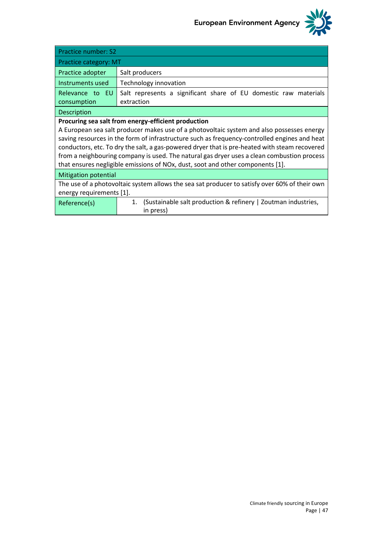

| Practice number: S2                                                                                                                                                                                                                                                                                                                                                                                                                                                                                                               |                                                                                  |  |  |  |
|-----------------------------------------------------------------------------------------------------------------------------------------------------------------------------------------------------------------------------------------------------------------------------------------------------------------------------------------------------------------------------------------------------------------------------------------------------------------------------------------------------------------------------------|----------------------------------------------------------------------------------|--|--|--|
|                                                                                                                                                                                                                                                                                                                                                                                                                                                                                                                                   | Practice category: MT                                                            |  |  |  |
| Practice adopter                                                                                                                                                                                                                                                                                                                                                                                                                                                                                                                  | Salt producers                                                                   |  |  |  |
| Instruments used                                                                                                                                                                                                                                                                                                                                                                                                                                                                                                                  | Technology innovation                                                            |  |  |  |
| Relevance to EU<br>consumption                                                                                                                                                                                                                                                                                                                                                                                                                                                                                                    | Salt represents a significant share of EU domestic raw materials<br>extraction   |  |  |  |
| Description                                                                                                                                                                                                                                                                                                                                                                                                                                                                                                                       |                                                                                  |  |  |  |
| Procuring sea salt from energy-efficient production<br>A European sea salt producer makes use of a photovoltaic system and also possesses energy<br>saving resources in the form of infrastructure such as frequency-controlled engines and heat<br>conductors, etc. To dry the salt, a gas-powered dryer that is pre-heated with steam recovered<br>from a neighbouring company is used. The natural gas dryer uses a clean combustion process<br>that ensures negligible emissions of NOx, dust, soot and other components [1]. |                                                                                  |  |  |  |
| <b>Mitigation potential</b>                                                                                                                                                                                                                                                                                                                                                                                                                                                                                                       |                                                                                  |  |  |  |
| The use of a photovoltaic system allows the sea sat producer to satisfy over 60% of their own<br>energy requirements [1].                                                                                                                                                                                                                                                                                                                                                                                                         |                                                                                  |  |  |  |
| Reference(s)                                                                                                                                                                                                                                                                                                                                                                                                                                                                                                                      | (Sustainable salt production & refinery   Zoutman industries,<br>1.<br>in press) |  |  |  |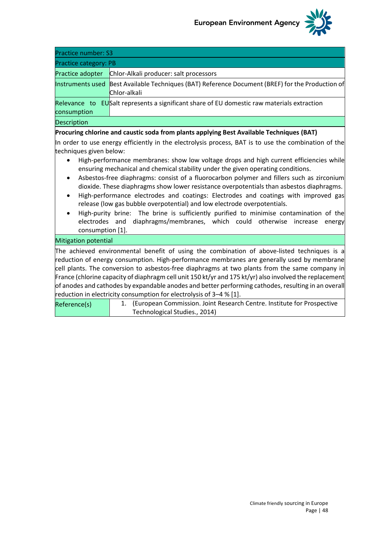

| Practice number: S3                                                                          |                                                                                                                                                                                                                                                                                                                                                                                                                                                                                                                                                                                                                                                                                                                                                                                                                  |
|----------------------------------------------------------------------------------------------|------------------------------------------------------------------------------------------------------------------------------------------------------------------------------------------------------------------------------------------------------------------------------------------------------------------------------------------------------------------------------------------------------------------------------------------------------------------------------------------------------------------------------------------------------------------------------------------------------------------------------------------------------------------------------------------------------------------------------------------------------------------------------------------------------------------|
| Practice category: PB                                                                        |                                                                                                                                                                                                                                                                                                                                                                                                                                                                                                                                                                                                                                                                                                                                                                                                                  |
| Practice adopter                                                                             | Chlor-Alkali producer: salt processors                                                                                                                                                                                                                                                                                                                                                                                                                                                                                                                                                                                                                                                                                                                                                                           |
| Instruments used                                                                             | Best Available Techniques (BAT) Reference Document (BREF) for the Production of<br>Chlor-alkali                                                                                                                                                                                                                                                                                                                                                                                                                                                                                                                                                                                                                                                                                                                  |
| consumption                                                                                  | Relevance to EUSalt represents a significant share of EU domestic raw materials extraction                                                                                                                                                                                                                                                                                                                                                                                                                                                                                                                                                                                                                                                                                                                       |
| <b>Description</b>                                                                           |                                                                                                                                                                                                                                                                                                                                                                                                                                                                                                                                                                                                                                                                                                                                                                                                                  |
|                                                                                              | Procuring chlorine and caustic soda from plants applying Best Available Techniques (BAT)                                                                                                                                                                                                                                                                                                                                                                                                                                                                                                                                                                                                                                                                                                                         |
| techniques given below:<br>$\bullet$<br>٠<br>$\bullet$<br>electrodes and<br>consumption [1]. | In order to use energy efficiently in the electrolysis process, BAT is to use the combination of the<br>High-performance membranes: show low voltage drops and high current efficiencies while<br>ensuring mechanical and chemical stability under the given operating conditions.<br>Asbestos-free diaphragms: consist of a fluorocarbon polymer and fillers such as zirconium<br>dioxide. These diaphragms show lower resistance overpotentials than asbestos diaphragms.<br>High-performance electrodes and coatings: Electrodes and coatings with improved gas<br>release (low gas bubble overpotential) and low electrode overpotentials.<br>High-purity brine: The brine is sufficiently purified to minimise contamination of the<br>diaphragms/membranes, which could<br>otherwise<br>increase<br>energy |
| <b>Mitigation potential</b>                                                                  |                                                                                                                                                                                                                                                                                                                                                                                                                                                                                                                                                                                                                                                                                                                                                                                                                  |
| Reference(s)                                                                                 | The achieved environmental benefit of using the combination of above-listed techniques is a<br>reduction of energy consumption. High-performance membranes are generally used by membrane<br>cell plants. The conversion to asbestos-free diaphragms at two plants from the same company in<br>France (chlorine capacity of diaphragm cell unit 150 kt/yr and 175 kt/yr) also involved the replacement<br>of anodes and cathodes by expandable anodes and better performing cathodes, resulting in an overall<br>reduction in electricity consumption for electrolysis of 3-4 % [1].<br>(European Commission. Joint Research Centre. Institute for Prospective<br>1.                                                                                                                                             |
|                                                                                              | Technological Studies., 2014)                                                                                                                                                                                                                                                                                                                                                                                                                                                                                                                                                                                                                                                                                                                                                                                    |
|                                                                                              |                                                                                                                                                                                                                                                                                                                                                                                                                                                                                                                                                                                                                                                                                                                                                                                                                  |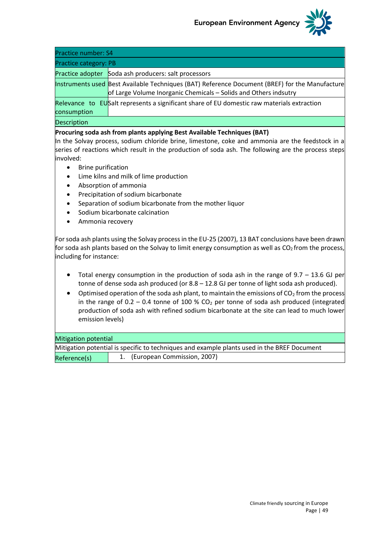

| Practice number: S4<br>Practice category: PB                                                                                                                                                                                                                                                    |  |  |  |
|-------------------------------------------------------------------------------------------------------------------------------------------------------------------------------------------------------------------------------------------------------------------------------------------------|--|--|--|
|                                                                                                                                                                                                                                                                                                 |  |  |  |
|                                                                                                                                                                                                                                                                                                 |  |  |  |
| <b>Practice adopter</b> Soda ash producers: salt processors                                                                                                                                                                                                                                     |  |  |  |
| Instruments used Best Available Techniques (BAT) Reference Document (BREF) for the Manufacture<br>of Large Volume Inorganic Chemicals – Solids and Others indsutry                                                                                                                              |  |  |  |
| Relevance to EUSalt represents a significant share of EU domestic raw materials extraction                                                                                                                                                                                                      |  |  |  |
| <b>Description</b>                                                                                                                                                                                                                                                                              |  |  |  |
| Procuring soda ash from plants applying Best Available Techniques (BAT)<br>In the Solvay process, sodium chloride brine, limestone, coke and ammonia are the feedstock in a<br>series of reactions which result in the production of soda ash. The following are the process steps<br>involved: |  |  |  |
| <b>Brine purification</b><br>Lime kilns and milk of lime production<br>$\bullet$<br>Absorption of ammonia<br>$\bullet$<br>Precipitation of sodium bicarbonate<br>Separation of sodium bicarbonate from the mother liquor                                                                        |  |  |  |
|                                                                                                                                                                                                                                                                                                 |  |  |  |

- Sodium bicarbonate calcination
- Ammonia recovery

For soda ash plants using the Solvay process in the EU-25 (2007), 13 BAT conclusions have been drawn for soda ash plants based on the Solvay to limit energy consumption as well as  $CO<sub>2</sub>$  from the process, including for instance:

- Total energy consumption in the production of soda ash in the range of 9.7 13.6 GJ per tonne of dense soda ash produced (or 8.8 – 12.8 GJ per tonne of light soda ash produced).
- Optimised operation of the soda ash plant, to maintain the emissions of  $CO<sub>2</sub>$  from the process in the range of 0.2 – 0.4 tonne of 100 %  $CO<sub>2</sub>$  per tonne of soda ash produced (integrated production of soda ash with refined sodium bicarbonate at the site can lead to much lower emission levels)

| Mitigation potential                                                                        |                                |  |  |
|---------------------------------------------------------------------------------------------|--------------------------------|--|--|
| Mitigation potential is specific to techniques and example plants used in the BREF Document |                                |  |  |
| Reference(s)                                                                                | 1. (European Commission, 2007) |  |  |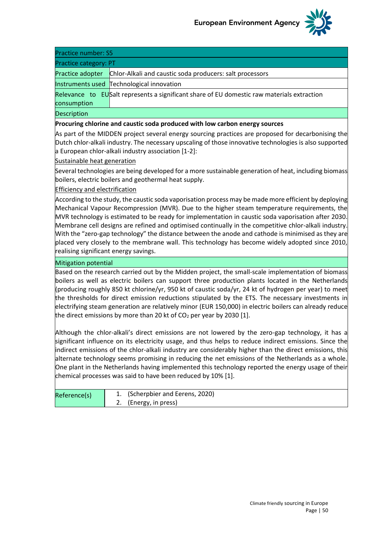

|                                                                                                                                                                                                                                                                                                                                                                                                                                                                                                                                                                                                             | Practice number: S5<br>Practice category: PT                                                                                                                                                                                                                                                                                                                                                                                                                                                                                                                                                                                                                            |  |  |  |  |
|-------------------------------------------------------------------------------------------------------------------------------------------------------------------------------------------------------------------------------------------------------------------------------------------------------------------------------------------------------------------------------------------------------------------------------------------------------------------------------------------------------------------------------------------------------------------------------------------------------------|-------------------------------------------------------------------------------------------------------------------------------------------------------------------------------------------------------------------------------------------------------------------------------------------------------------------------------------------------------------------------------------------------------------------------------------------------------------------------------------------------------------------------------------------------------------------------------------------------------------------------------------------------------------------------|--|--|--|--|
| Practice adopter                                                                                                                                                                                                                                                                                                                                                                                                                                                                                                                                                                                            | Chlor-Alkali and caustic soda producers: salt processors                                                                                                                                                                                                                                                                                                                                                                                                                                                                                                                                                                                                                |  |  |  |  |
|                                                                                                                                                                                                                                                                                                                                                                                                                                                                                                                                                                                                             | Instruments used Technological innovation                                                                                                                                                                                                                                                                                                                                                                                                                                                                                                                                                                                                                               |  |  |  |  |
| consumption                                                                                                                                                                                                                                                                                                                                                                                                                                                                                                                                                                                                 | Relevance to EUSalt represents a significant share of EU domestic raw materials extraction                                                                                                                                                                                                                                                                                                                                                                                                                                                                                                                                                                              |  |  |  |  |
| <b>Description</b>                                                                                                                                                                                                                                                                                                                                                                                                                                                                                                                                                                                          |                                                                                                                                                                                                                                                                                                                                                                                                                                                                                                                                                                                                                                                                         |  |  |  |  |
|                                                                                                                                                                                                                                                                                                                                                                                                                                                                                                                                                                                                             | Procuring chlorine and caustic soda produced with low carbon energy sources                                                                                                                                                                                                                                                                                                                                                                                                                                                                                                                                                                                             |  |  |  |  |
| As part of the MIDDEN project several energy sourcing practices are proposed for decarbonising the<br>Dutch chlor-alkali industry. The necessary upscaling of those innovative technologies is also supported<br>a European chlor-alkali industry association [1-2]:<br>Sustainable heat generation                                                                                                                                                                                                                                                                                                         |                                                                                                                                                                                                                                                                                                                                                                                                                                                                                                                                                                                                                                                                         |  |  |  |  |
| <b>Efficiency and electrification</b>                                                                                                                                                                                                                                                                                                                                                                                                                                                                                                                                                                       | Several technologies are being developed for a more sustainable generation of heat, including biomass<br>boilers, electric boilers and geothermal heat supply.                                                                                                                                                                                                                                                                                                                                                                                                                                                                                                          |  |  |  |  |
|                                                                                                                                                                                                                                                                                                                                                                                                                                                                                                                                                                                                             | According to the study, the caustic soda vaporisation process may be made more efficient by deploying<br>Mechanical Vapour Recompression (MVR). Due to the higher steam temperature requirements, the<br>MVR technology is estimated to be ready for implementation in caustic soda vaporisation after 2030.<br>Membrane cell designs are refined and optimised continually in the competitive chlor-alkali industry.<br>With the "zero-gap technology" the distance between the anode and cathode is minimised as they are<br>placed very closely to the membrane wall. This technology has become widely adopted since 2010,<br>realising significant energy savings. |  |  |  |  |
| Mitigation potential                                                                                                                                                                                                                                                                                                                                                                                                                                                                                                                                                                                        |                                                                                                                                                                                                                                                                                                                                                                                                                                                                                                                                                                                                                                                                         |  |  |  |  |
| Based on the research carried out by the Midden project, the small-scale implementation of biomass<br>boilers as well as electric boilers can support three production plants located in the Netherlands<br>(producing roughly 850 kt chlorine/yr, 950 kt of caustic soda/yr, 24 kt of hydrogen per year) to meet<br>the thresholds for direct emission reductions stipulated by the ETS. The necessary investments in<br>electrifying steam generation are relatively minor (EUR 150,000) in electric boilers can already reduce<br>the direct emissions by more than 20 kt of $CO2$ per year by 2030 [1]. |                                                                                                                                                                                                                                                                                                                                                                                                                                                                                                                                                                                                                                                                         |  |  |  |  |
|                                                                                                                                                                                                                                                                                                                                                                                                                                                                                                                                                                                                             | Although the chlor-alkali's direct emissions are not lowered by the zero-gap technology, it has a<br>significant influence on its electricity usage, and thus helps to reduce indirect emissions. Since the<br>indirect emissions of the chlor-alkali industry are considerably higher than the direct emissions, this                                                                                                                                                                                                                                                                                                                                                  |  |  |  |  |
|                                                                                                                                                                                                                                                                                                                                                                                                                                                                                                                                                                                                             | alternate technology seems promising in reducing the net emissions of the Netherlands as a whole.<br>One plant in the Netherlands having implemented this technology reported the energy usage of their<br>chemical processes was said to have been reduced by 10% [1].                                                                                                                                                                                                                                                                                                                                                                                                 |  |  |  |  |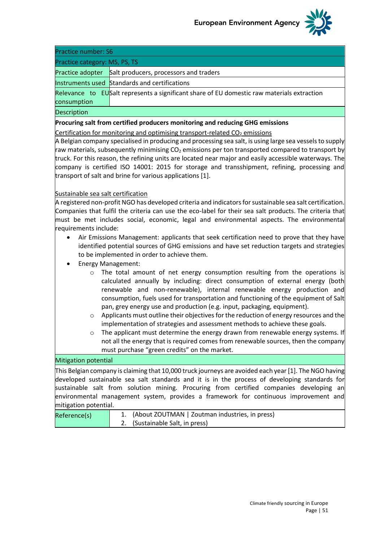

|                               | <b>Practice number: S6</b> |                                                                                            |  |
|-------------------------------|----------------------------|--------------------------------------------------------------------------------------------|--|
| Practice category: MS, PS, TS |                            |                                                                                            |  |
|                               | Practice adopter           | Salt producers, processors and traders                                                     |  |
|                               |                            | Instruments used Standards and certifications                                              |  |
|                               |                            | Relevance to EUSalt represents a significant share of EU domestic raw materials extraction |  |
|                               | consumption                |                                                                                            |  |
|                               |                            |                                                                                            |  |

**Procuring salt from certified producers monitoring and reducing GHG emissions**

Certification for monitoring and optimising transport-related  $CO<sub>2</sub>$  emissions

A Belgian company specialised in producing and processing sea salt, is using large sea vessels to supply raw materials, subsequently minimising CO<sub>2</sub> emissions per ton transported compared to transport by truck. For this reason, the refining units are located near major and easily accessible waterways. The company is certified ISO 14001: 2015 for storage and transshipment, refining, processing and transport of salt and brine for various applications [1].

## Sustainable sea salt certification

A registered non-profit NGO has developed criteria and indicators for sustainable sea salt certification. Companies that fulfil the criteria can use the eco-label for their sea salt products. The criteria that must be met includes social, economic, legal and environmental aspects. The environmental requirements include:

- Air Emissions Management: applicants that seek certification need to prove that they have identified potential sources of GHG emissions and have set reduction targets and strategies to be implemented in order to achieve them.
- Energy Management:
	- $\circ$  The total amount of net energy consumption resulting from the operations is calculated annually by including: direct consumption of external energy (both renewable and non-renewable), internal renewable energy production and consumption, fuels used for transportation and functioning of the equipment of Salt pan, grey energy use and production (e.g. input, packaging, equipment).
	- $\circ$  Applicants must outline their objectives for the reduction of energy resources and the implementation of strategies and assessment methods to achieve these goals.
	- $\circ$  The applicant must determine the energy drawn from renewable energy systems. If not all the energy that is required comes from renewable sources, then the company must purchase "green credits" on the market.

## Mitigation potential

This Belgian company is claiming that 10,000 truck journeys are avoided each year [1]. The NGO having developed sustainable sea salt standards and it is in the process of developing standards for sustainable salt from solution mining. Procuring from certified companies developing an environmental management system, provides a framework for continuous improvement and mitigation potential.

| Reference(s) | 1. (About ZOUTMAN   Zoutman industries, in press) |
|--------------|---------------------------------------------------|
|              | 2. (Sustainable Salt, in press)                   |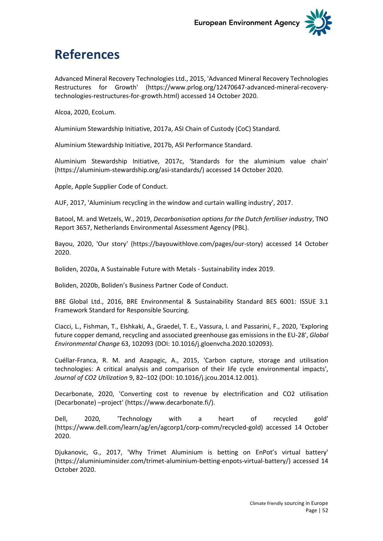

## **References**

Advanced Mineral Recovery Technologies Ltd., 2015, 'Advanced Mineral Recovery Technologies Restructures for Growth' (https://www.prlog.org/12470647-advanced-mineral-recoverytechnologies-restructures-for-growth.html) accessed 14 October 2020.

Alcoa, 2020, EcoLum.

Aluminium Stewardship Initiative, 2017a, ASI Chain of Custody (CoC) Standard.

Aluminium Stewardship Initiative, 2017b, ASI Performance Standard.

Aluminium Stewardship Initiative, 2017c, 'Standards for the aluminium value chain' (https://aluminium-stewardship.org/asi-standards/) accessed 14 October 2020.

Apple, Apple Supplier Code of Conduct.

AUF, 2017, 'Aluminium recycling in the window and curtain walling industry', 2017.

Batool, M. and Wetzels, W., 2019, *Decarbonisation options for the Dutch fertiliser industry*, TNO Report 3657, Netherlands Environmental Assessment Agency (PBL).

Bayou, 2020, 'Our story' (https://bayouwithlove.com/pages/our-story) accessed 14 October 2020.

Boliden, 2020a, A Sustainable Future with Metals - Sustainability index 2019.

Boliden, 2020b, Boliden's Business Partner Code of Conduct.

BRE Global Ltd., 2016, BRE Environmental & Sustainability Standard BES 6001: ISSUE 3.1 Framework Standard for Responsible Sourcing.

Ciacci, L., Fishman, T., Elshkaki, A., Graedel, T. E., Vassura, I. and Passarini, F., 2020, 'Exploring future copper demand, recycling and associated greenhouse gas emissions in the EU-28', *Global Environmental Change* 63, 102093 (DOI: 10.1016/j.gloenvcha.2020.102093).

Cuéllar-Franca, R. M. and Azapagic, A., 2015, 'Carbon capture, storage and utilisation technologies: A critical analysis and comparison of their life cycle environmental impacts', *Journal of CO2 Utilization* 9, 82–102 (DOI: 10.1016/j.jcou.2014.12.001).

Decarbonate, 2020, 'Converting cost to revenue by electrification and CO2 utilisation (Decarbonate) –project' (https://www.decarbonate.fi/).

Dell, 2020, 'Technology with a heart of recycled gold' (https://www.dell.com/learn/ag/en/agcorp1/corp-comm/recycled-gold) accessed 14 October 2020.

Djukanovic, G., 2017, 'Why Trimet Aluminium is betting on EnPot's virtual battery' (https://aluminiuminsider.com/trimet-aluminium-betting-enpots-virtual-battery/) accessed 14 October 2020.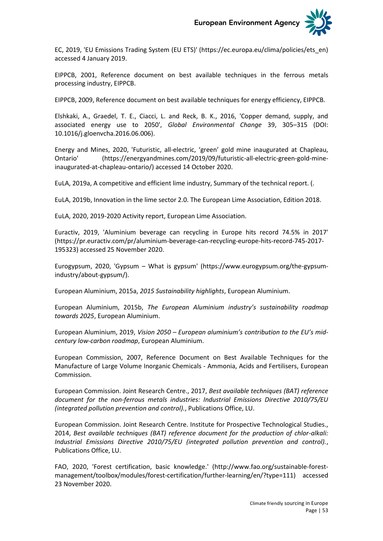

EC, 2019, 'EU Emissions Trading System (EU ETS)' (https://ec.europa.eu/clima/policies/ets\_en) accessed 4 January 2019.

EIPPCB, 2001, Reference document on best available techniques in the ferrous metals processing industry, EIPPCB.

EIPPCB, 2009, Reference document on best available techniques for energy efficiency, EIPPCB.

Elshkaki, A., Graedel, T. E., Ciacci, L. and Reck, B. K., 2016, 'Copper demand, supply, and associated energy use to 2050', *Global Environmental Change* 39, 305–315 (DOI: 10.1016/j.gloenvcha.2016.06.006).

Energy and Mines, 2020, 'Futuristic, all-electric, 'green' gold mine inaugurated at Chapleau, Ontario' (https://energyandmines.com/2019/09/futuristic-all-electric-green-gold-mineinaugurated-at-chapleau-ontario/) accessed 14 October 2020.

EuLA, 2019a, A competitive and efficient lime industry, Summary of the technical report. (.

EuLA, 2019b, Innovation in the lime sector 2.0. The European Lime Association, Edition 2018.

EuLA, 2020, 2019-2020 Activity report, European Lime Association.

Euractiv, 2019, 'Aluminium beverage can recycling in Europe hits record 74.5% in 2017' (https://pr.euractiv.com/pr/aluminium-beverage-can-recycling-europe-hits-record-745-2017- 195323) accessed 25 November 2020.

Eurogypsum, 2020, 'Gypsum – What is gypsum' (https://www.eurogypsum.org/the-gypsumindustry/about-gypsum/).

European Aluminium, 2015a, *2015 Sustainability highlights*, European Aluminium.

European Aluminium, 2015b, *The European Aluminium industry's sustainability roadmap towards 2025*, European Aluminium.

European Aluminium, 2019, *Vision 2050 – European aluminium's contribution to the EU's midcentury low-carbon roadmap*, European Aluminium.

European Commission, 2007, Reference Document on Best Available Techniques for the Manufacture of Large Volume Inorganic Chemicals - Ammonia, Acids and Fertilisers, European Commission.

European Commission. Joint Research Centre., 2017, *Best available techniques (BAT) reference document for the non-ferrous metals industries: Industrial Emissions Directive 2010/75/EU (integrated pollution prevention and control).*, Publications Office, LU.

European Commission. Joint Research Centre. Institute for Prospective Technological Studies., 2014, *Best available techniques (BAT) reference document for the production of chlor-alkali: Industrial Emissions Directive 2010/75/EU (integrated pollution prevention and control).*, Publications Office, LU.

FAO, 2020, 'Forest certification, basic knowledge.' (http://www.fao.org/sustainable-forestmanagement/toolbox/modules/forest-certification/further-learning/en/?type=111) accessed 23 November 2020.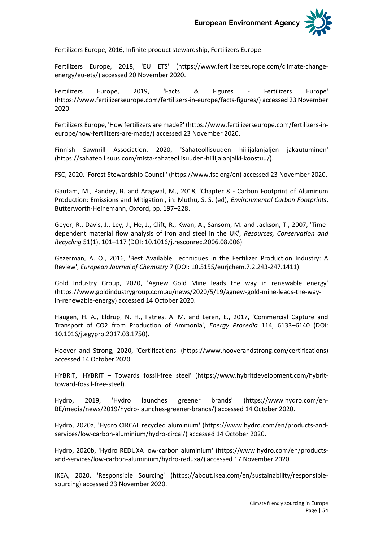

Fertilizers Europe, 2016, Infinite product stewardship, Fertilizers Europe.

Fertilizers Europe, 2018, 'EU ETS' (https://www.fertilizerseurope.com/climate-changeenergy/eu-ets/) accessed 20 November 2020.

Fertilizers Europe, 2019, 'Facts & Figures - Fertilizers Europe' (https://www.fertilizerseurope.com/fertilizers-in-europe/facts-figures/) accessed 23 November 2020.

Fertilizers Europe, 'How fertilizers are made?' (https://www.fertilizerseurope.com/fertilizers-ineurope/how-fertilizers-are-made/) accessed 23 November 2020.

Finnish Sawmill Association, 2020, 'Sahateollisuuden hiilijalanjäljen jakautuminen' (https://sahateollisuus.com/mista-sahateollisuuden-hiilijalanjalki-koostuu/).

FSC, 2020, 'Forest Stewardship Council' (https://www.fsc.org/en) accessed 23 November 2020.

Gautam, M., Pandey, B. and Aragwal, M., 2018, 'Chapter 8 - Carbon Footprint of Aluminum Production: Emissions and Mitigation', in: Muthu, S. S. (ed), *Environmental Carbon Footprints*, Butterworth-Heinemann, Oxford, pp. 197–228.

Geyer, R., Davis, J., Ley, J., He, J., Clift, R., Kwan, A., Sansom, M. and Jackson, T., 2007, 'Timedependent material flow analysis of iron and steel in the UK', *Resources, Conservation and Recycling* 51(1), 101–117 (DOI: 10.1016/j.resconrec.2006.08.006).

Gezerman, A. O., 2016, 'Best Available Techniques in the Fertilizer Production Industry: A Review', *European Journal of Chemistry* 7 (DOI: 10.5155/eurjchem.7.2.243-247.1411).

Gold Industry Group, 2020, 'Agnew Gold Mine leads the way in renewable energy' (https://www.goldindustrygroup.com.au/news/2020/5/19/agnew-gold-mine-leads-the-wayin-renewable-energy) accessed 14 October 2020.

Haugen, H. A., Eldrup, N. H., Fatnes, A. M. and Leren, E., 2017, 'Commercial Capture and Transport of CO2 from Production of Ammonia', *Energy Procedia* 114, 6133–6140 (DOI: 10.1016/j.egypro.2017.03.1750).

Hoover and Strong, 2020, 'Certifications' (https://www.hooverandstrong.com/certifications) accessed 14 October 2020.

HYBRIT, 'HYBRIT – Towards fossil-free steel' (https://www.hybritdevelopment.com/hybrittoward-fossil-free-steel).

Hydro, 2019, 'Hydro launches greener brands' (https://www.hydro.com/en-BE/media/news/2019/hydro-launches-greener-brands/) accessed 14 October 2020.

Hydro, 2020a, 'Hydro CIRCAL recycled aluminium' (https://www.hydro.com/en/products-andservices/low-carbon-aluminium/hydro-circal/) accessed 14 October 2020.

Hydro, 2020b, 'Hydro REDUXA low-carbon aluminium' (https://www.hydro.com/en/productsand-services/low-carbon-aluminium/hydro-reduxa/) accessed 17 November 2020.

IKEA, 2020, 'Responsible Sourcing' (https://about.ikea.com/en/sustainability/responsiblesourcing) accessed 23 November 2020.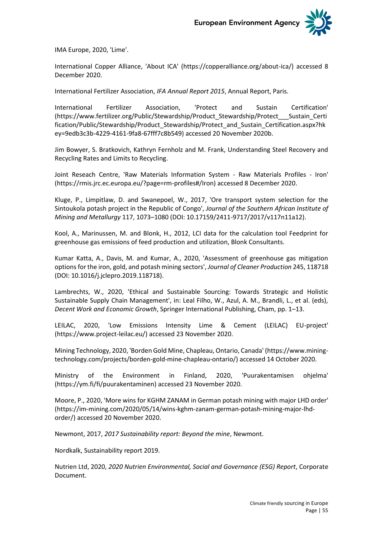

IMA Europe, 2020, 'Lime'.

International Copper Alliance, 'About ICA' (https://copperalliance.org/about-ica/) accessed 8 December 2020.

International Fertilizer Association, *IFA Annual Report 2015*, Annual Report, Paris.

International Fertilizer Association, 'Protect and Sustain Certification' (https://www.fertilizer.org/Public/Stewardship/Product\_Stewardship/Protect\_\_\_Sustain\_Certi fication/Public/Stewardship/Product\_Stewardship/Protect\_and\_Sustain\_Certification.aspx?hk ey=9edb3c3b-4229-4161-9fa8-67fff7c8b549) accessed 20 November 2020b.

Jim Bowyer, S. Bratkovich, Kathryn Fernholz and M. Frank, Understanding Steel Recovery and Recycling Rates and Limits to Recycling.

Joint Reseach Centre, 'Raw Materials Information System - Raw Materials Profiles - Iron' (https://rmis.jrc.ec.europa.eu/?page=rm-profiles#/Iron) accessed 8 December 2020.

Kluge, P., Limpitlaw, D. and Swanepoel, W., 2017, 'Ore transport system selection for the Sintoukola potash project in the Republic of Congo', *Journal of the Southern African Institute of Mining and Metallurgy* 117, 1073–1080 (DOI: 10.17159/2411-9717/2017/v117n11a12).

Kool, A., Marinussen, M. and Blonk, H., 2012, LCI data for the calculation tool Feedprint for greenhouse gas emissions of feed production and utilization, Blonk Consultants.

Kumar Katta, A., Davis, M. and Kumar, A., 2020, 'Assessment of greenhouse gas mitigation options for the iron, gold, and potash mining sectors', *Journal of Cleaner Production* 245, 118718 (DOI: 10.1016/j.jclepro.2019.118718).

Lambrechts, W., 2020, 'Ethical and Sustainable Sourcing: Towards Strategic and Holistic Sustainable Supply Chain Management', in: Leal Filho, W., Azul, A. M., Brandli, L., et al. (eds), *Decent Work and Economic Growth*, Springer International Publishing, Cham, pp. 1–13.

LEILAC, 2020, 'Low Emissions Intensity Lime & Cement (LEILAC) EU-project' (https://www.project-leilac.eu/) accessed 23 November 2020.

Mining Technology, 2020, 'Borden Gold Mine, Chapleau, Ontario, Canada' (https://www.miningtechnology.com/projects/borden-gold-mine-chapleau-ontario/) accessed 14 October 2020.

Ministry of the Environment in Finland, 2020, 'Puurakentamisen ohjelma' (https://ym.fi/fi/puurakentaminen) accessed 23 November 2020.

Moore, P., 2020, 'More wins for KGHM ZANAM in German potash mining with major LHD order' (https://im-mining.com/2020/05/14/wins-kghm-zanam-german-potash-mining-major-lhdorder/) accessed 20 November 2020.

Newmont, 2017, *2017 Sustainability report: Beyond the mine*, Newmont.

Nordkalk, Sustainability report 2019.

Nutrien Ltd, 2020, *2020 Nutrien Environmental, Social and Governance (ESG) Report*, Corporate Document.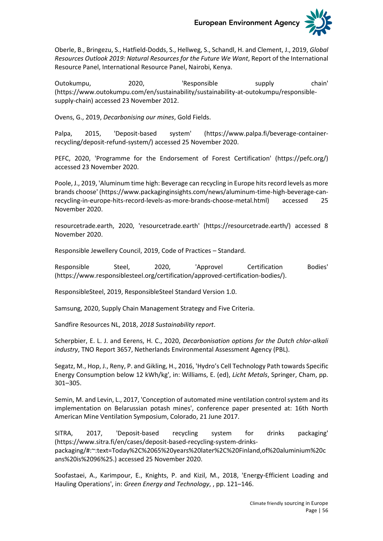

Oberle, B., Bringezu, S., Hatfield-Dodds, S., Hellweg, S., Schandl, H. and Clement, J., 2019, *Global Resources Outlook 2019: Natural Resources for the Future We Want*, Report of the International Resource Panel, International Resource Panel, Nairobi, Kenya.

Outokumpu, 2020, 'Responsible supply chain' (https://www.outokumpu.com/en/sustainability/sustainability-at-outokumpu/responsiblesupply-chain) accessed 23 November 2012.

Ovens, G., 2019, *Decarbonising our mines*, Gold Fields.

Palpa, 2015, 'Deposit-based system' (https://www.palpa.fi/beverage-containerrecycling/deposit-refund-system/) accessed 25 November 2020.

PEFC, 2020, 'Programme for the Endorsement of Forest Certification' (https://pefc.org/) accessed 23 November 2020.

Poole, J., 2019, 'Aluminum time high: Beverage can recycling in Europe hits record levels as more brands choose' (https://www.packaginginsights.com/news/aluminum-time-high-beverage-canrecycling-in-europe-hits-record-levels-as-more-brands-choose-metal.html) accessed 25 November 2020.

resourcetrade.earth, 2020, 'resourcetrade.earth' (https://resourcetrade.earth/) accessed 8 November 2020.

Responsible Jewellery Council, 2019, Code of Practices – Standard.

Responsible Steel, 2020, 'Approvel Certification Bodies' (https://www.responsiblesteel.org/certification/approved-certification-bodies/).

ResponsibleSteel, 2019, ResponsibleSteel Standard Version 1.0.

Samsung, 2020, Supply Chain Management Strategy and Five Criteria.

Sandfire Resources NL, 2018, *2018 Sustainability report*.

Scherpbier, E. L. J. and Eerens, H. C., 2020, *Decarbonisation options for the Dutch chlor-alkali industry*, TNO Report 3657, Netherlands Environmental Assessment Agency (PBL).

Segatz, M., Hop, J., Reny, P. and Gikling, H., 2016, 'Hydro's Cell Technology Path towards Specific Energy Consumption below 12 kWh/kg', in: Williams, E. (ed), *Licht Metals*, Springer, Cham, pp. 301–305.

Semin, M. and Levin, L., 2017, 'Conception of automated mine ventilation control system and its implementation on Belarussian potash mines', conference paper presented at: 16th North American Mine Ventilation Symposium, Colorado, 21 June 2017.

SITRA, 2017, 'Deposit-based recycling system for drinks packaging' (https://www.sitra.fi/en/cases/deposit-based-recycling-system-drinks-

packaging/#:~:text=Today%2C%2065%20years%20later%2C%20Finland,of%20aluminium%20c ans%20is%2096%25.) accessed 25 November 2020.

Soofastaei, A., Karimpour, E., Knights, P. and Kizil, M., 2018, 'Energy-Efficient Loading and Hauling Operations', in: *Green Energy and Technology*, , pp. 121–146.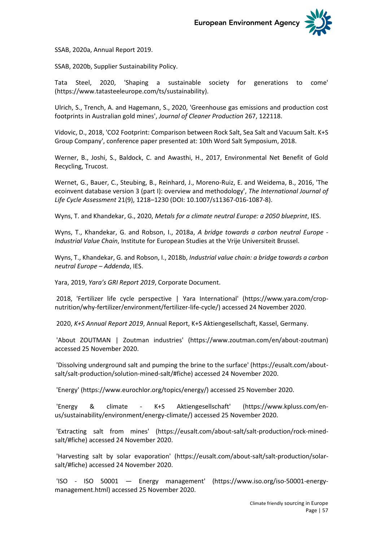

SSAB, 2020a, Annual Report 2019.

SSAB, 2020b, Supplier Sustainability Policy.

Tata Steel, 2020, 'Shaping a sustainable society for generations to come' (https://www.tatasteeleurope.com/ts/sustainability).

Ulrich, S., Trench, A. and Hagemann, S., 2020, 'Greenhouse gas emissions and production cost footprints in Australian gold mines', *Journal of Cleaner Production* 267, 122118.

Vidovic, D., 2018, 'CO2 Footprint: Comparison between Rock Salt, Sea Salt and Vacuum Salt. K+S Group Company', conference paper presented at: 10th Word Salt Symposium, 2018.

Werner, B., Joshi, S., Baldock, C. and Awasthi, H., 2017, Environmental Net Benefit of Gold Recycling, Trucost.

Wernet, G., Bauer, C., Steubing, B., Reinhard, J., Moreno-Ruiz, E. and Weidema, B., 2016, 'The ecoinvent database version 3 (part I): overview and methodology', *The International Journal of Life Cycle Assessment* 21(9), 1218–1230 (DOI: 10.1007/s11367-016-1087-8).

Wyns, T. and Khandekar, G., 2020, *Metals for a climate neutral Europe: a 2050 blueprint*, IES.

Wyns, T., Khandekar, G. and Robson, I., 2018a, *A bridge towards a carbon neutral Europe - Industrial Value Chain*, Institute for European Studies at the Vrije Universiteit Brussel.

Wyns, T., Khandekar, G. and Robson, I., 2018b, *Industrial value chain: a bridge towards a carbon neutral Europe – Addenda*, IES.

Yara, 2019, *Yara's GRI Report 2019*, Corporate Document.

2018, 'Fertilizer life cycle perspective | Yara International' (https://www.yara.com/cropnutrition/why-fertilizer/environment/fertilizer-life-cycle/) accessed 24 November 2020.

2020, *K+S Annual Report 2019*, Annual Report, K+S Aktiengesellschaft, Kassel, Germany.

'About ZOUTMAN | Zoutman industries' (https://www.zoutman.com/en/about-zoutman) accessed 25 November 2020.

'Dissolving underground salt and pumping the brine to the surface' (https://eusalt.com/aboutsalt/salt-production/solution-mined-salt/#fiche) accessed 24 November 2020.

'Energy' (https://www.eurochlor.org/topics/energy/) accessed 25 November 2020.

'Energy & climate - K+S Aktiengesellschaft' (https://www.kpluss.com/enus/sustainability/environment/energy-climate/) accessed 25 November 2020.

'Extracting salt from mines' (https://eusalt.com/about-salt/salt-production/rock-minedsalt/#fiche) accessed 24 November 2020.

'Harvesting salt by solar evaporation' (https://eusalt.com/about-salt/salt-production/solarsalt/#fiche) accessed 24 November 2020.

'ISO - ISO 50001 — Energy management' (https://www.iso.org/iso-50001-energymanagement.html) accessed 25 November 2020.